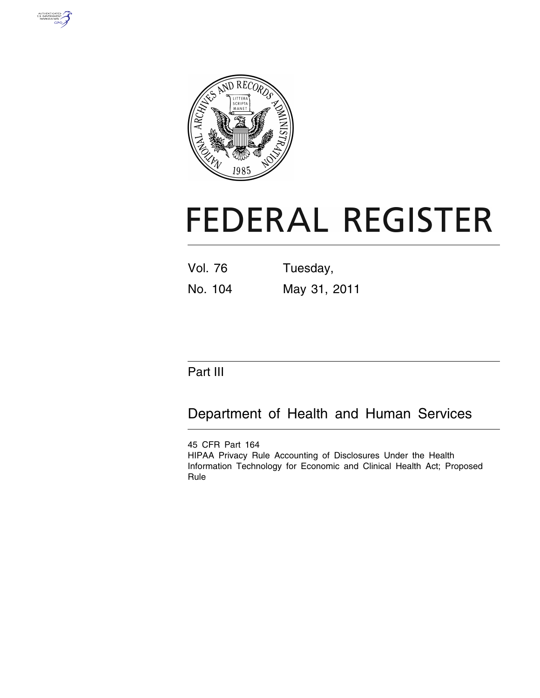



# **FEDERAL REGISTER**

Vol. 76 Tuesday, No. 104 May 31, 2011

# Part III

Department of Health and Human Services

45 CFR Part 164 HIPAA Privacy Rule Accounting of Disclosures Under the Health Information Technology for Economic and Clinical Health Act; Proposed Rule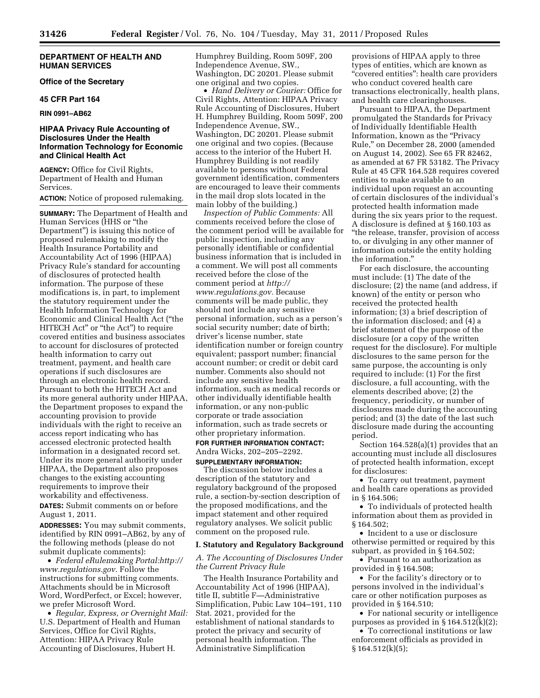# **DEPARTMENT OF HEALTH AND HUMAN SERVICES**

**Office of the Secretary** 

#### **45 CFR Part 164**

**RIN 0991–AB62** 

# **HIPAA Privacy Rule Accounting of Disclosures Under the Health Information Technology for Economic and Clinical Health Act**

**AGENCY:** Office for Civil Rights, Department of Health and Human Services.

# **ACTION:** Notice of proposed rulemaking.

**SUMMARY:** The Department of Health and Human Services (HHS or ''the Department'') is issuing this notice of proposed rulemaking to modify the Health Insurance Portability and Accountability Act of 1996 (HIPAA) Privacy Rule's standard for accounting of disclosures of protected health information. The purpose of these modifications is, in part, to implement the statutory requirement under the Health Information Technology for Economic and Clinical Health Act (''the HITECH Act'' or ''the Act'') to require covered entities and business associates to account for disclosures of protected health information to carry out treatment, payment, and health care operations if such disclosures are through an electronic health record. Pursuant to both the HITECH Act and its more general authority under HIPAA, the Department proposes to expand the accounting provision to provide individuals with the right to receive an access report indicating who has accessed electronic protected health information in a designated record set. Under its more general authority under HIPAA, the Department also proposes changes to the existing accounting requirements to improve their workability and effectiveness.

**DATES:** Submit comments on or before August 1, 2011.

**ADDRESSES:** You may submit comments, identified by RIN 0991–AB62, by any of the following methods (please do not submit duplicate comments):

• *Federal eRulemaking Portal:[http://](http://www.regulations.gov) [www.regulations.gov](http://www.regulations.gov)*. Follow the instructions for submitting comments. Attachments should be in Microsoft Word, WordPerfect, or Excel; however, we prefer Microsoft Word.

• *Regular, Express, or Overnight Mail:*  U.S. Department of Health and Human Services, Office for Civil Rights, Attention: HIPAA Privacy Rule Accounting of Disclosures, Hubert H.

Humphrey Building, Room 509F, 200 Independence Avenue, SW., Washington, DC 20201. Please submit one original and two copies.

• *Hand Delivery or Courier:* Office for Civil Rights, Attention: HIPAA Privacy Rule Accounting of Disclosures, Hubert H. Humphrey Building, Room 509F, 200 Independence Avenue, SW., Washington, DC 20201. Please submit one original and two copies. (Because access to the interior of the Hubert H. Humphrey Building is not readily available to persons without Federal government identification, commenters are encouraged to leave their comments in the mail drop slots located in the main lobby of the building.)

*Inspection of Public Comments:* All comments received before the close of the comment period will be available for public inspection, including any personally identifiable or confidential business information that is included in a comment. We will post all comments received before the close of the comment period at *[http://](http://www.regulations.gov)  [www.regulations.gov.](http://www.regulations.gov)* Because comments will be made public, they should not include any sensitive personal information, such as a person's social security number; date of birth; driver's license number, state identification number or foreign country equivalent; passport number; financial account number; or credit or debit card number. Comments also should not include any sensitive health information, such as medical records or other individually identifiable health information, or any non-public corporate or trade association information, such as trade secrets or other proprietary information. **FOR FURTHER INFORMATION CONTACT:** 

# Andra Wicks, 202–205–2292. **SUPPLEMENTARY INFORMATION:**

The discussion below includes a description of the statutory and regulatory background of the proposed rule, a section-by-section description of the proposed modifications, and the impact statement and other required regulatory analyses. We solicit public comment on the proposed rule.

#### **I. Statutory and Regulatory Background**

#### *A. The Accounting of Disclosures Under the Current Privacy Rule*

The Health Insurance Portability and Accountability Act of 1996 (HIPAA), title II, subtitle F—Administrative Simplification, Pubic Law 104–191, 110 Stat. 2021, provided for the establishment of national standards to protect the privacy and security of personal health information. The Administrative Simplification

provisions of HIPAA apply to three types of entities, which are known as "covered entities": health care providers who conduct covered health care transactions electronically, health plans, and health care clearinghouses.

Pursuant to HIPAA, the Department promulgated the Standards for Privacy of Individually Identifiable Health Information, known as the ''Privacy Rule,'' on December 28, 2000 (amended on August 14, 2002). See 65 FR 82462, as amended at 67 FR 53182. The Privacy Rule at 45 CFR 164.528 requires covered entities to make available to an individual upon request an accounting of certain disclosures of the individual's protected health information made during the six years prior to the request. A disclosure is defined at § 160.103 as ''the release, transfer, provision of access to, or divulging in any other manner of information outside the entity holding the information.''

For each disclosure, the accounting must include: (1) The date of the disclosure; (2) the name (and address, if known) of the entity or person who received the protected health information; (3) a brief description of the information disclosed; and (4) a brief statement of the purpose of the disclosure (or a copy of the written request for the disclosure). For multiple disclosures to the same person for the same purpose, the accounting is only required to include: (1) For the first disclosure, a full accounting, with the elements described above; (2) the frequency, periodicity, or number of disclosures made during the accounting period; and (3) the date of the last such disclosure made during the accounting period.

Section 164.528(a)(1) provides that an accounting must include all disclosures of protected health information, except for disclosures:

• To carry out treatment, payment and health care operations as provided in § 164.506;

• To individuals of protected health information about them as provided in § 164.502;

• Incident to a use or disclosure otherwise permitted or required by this subpart, as provided in § 164.502;

• Pursuant to an authorization as provided in § 164.508;

• For the facility's directory or to persons involved in the individual's care or other notification purposes as provided in § 164.510;

• For national security or intelligence purposes as provided in § 164.512(k)(2);

• To correctional institutions or law enforcement officials as provided in § 164.512(k)(5);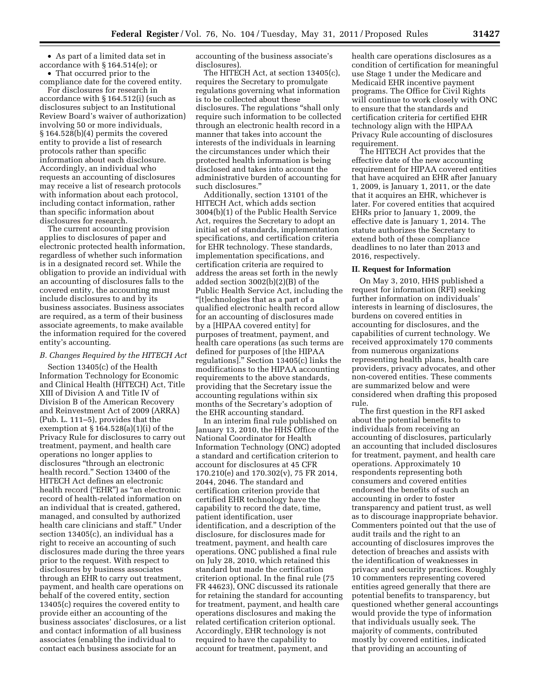• As part of a limited data set in accordance with § 164.514(e); or • That occurred prior to the

compliance date for the covered entity.

For disclosures for research in accordance with § 164.512(i) (such as disclosures subject to an Institutional Review Board's waiver of authorization) involving 50 or more individuals, § 164.528(b)(4) permits the covered entity to provide a list of research protocols rather than specific information about each disclosure. Accordingly, an individual who requests an accounting of disclosures may receive a list of research protocols with information about each protocol, including contact information, rather than specific information about disclosures for research.

The current accounting provision applies to disclosures of paper and electronic protected health information, regardless of whether such information is in a designated record set. While the obligation to provide an individual with an accounting of disclosures falls to the covered entity, the accounting must include disclosures to and by its business associates. Business associates are required, as a term of their business associate agreements, to make available the information required for the covered entity's accounting.

#### *B. Changes Required by the HITECH Act*

Section 13405(c) of the Health Information Technology for Economic and Clinical Health (HITECH) Act, Title XIII of Division A and Title IV of Division B of the American Recovery and Reinvestment Act of 2009 (ARRA) (Pub. L. 111–5), provides that the exemption at § 164.528(a)(1)(i) of the Privacy Rule for disclosures to carry out treatment, payment, and health care operations no longer applies to disclosures ''through an electronic health record.'' Section 13400 of the HITECH Act defines an electronic health record (''EHR'') as ''an electronic record of health-related information on an individual that is created, gathered, managed, and consulted by authorized health care clinicians and staff.'' Under section 13405(c), an individual has a right to receive an accounting of such disclosures made during the three years prior to the request. With respect to disclosures by business associates through an EHR to carry out treatment, payment, and health care operations on behalf of the covered entity, section 13405(c) requires the covered entity to provide either an accounting of the business associates' disclosures, or a list and contact information of all business associates (enabling the individual to contact each business associate for an

accounting of the business associate's disclosures).

The HITECH Act, at section 13405(c), requires the Secretary to promulgate regulations governing what information is to be collected about these disclosures. The regulations ''shall only require such information to be collected through an electronic health record in a manner that takes into account the interests of the individuals in learning the circumstances under which their protected health information is being disclosed and takes into account the administrative burden of accounting for such disclosures.''

Additionally, section 13101 of the HITECH Act, which adds section 3004(b)(1) of the Public Health Service Act, requires the Secretary to adopt an initial set of standards, implementation specifications, and certification criteria for EHR technology. These standards, implementation specifications, and certification criteria are required to address the areas set forth in the newly added section 3002(b)(2)(B) of the Public Health Service Act, including the "[t]echnologies that as a part of a qualified electronic health record allow for an accounting of disclosures made by a [HIPAA covered entity] for purposes of treatment, payment, and health care operations (as such terms are defined for purposes of [the HIPAA regulations].'' Section 13405(c) links the modifications to the HIPAA accounting requirements to the above standards, providing that the Secretary issue the accounting regulations within six months of the Secretary's adoption of the EHR accounting standard.

In an interim final rule published on January 13, 2010, the HHS Office of the National Coordinator for Health Information Technology (ONC) adopted a standard and certification criterion to account for disclosures at 45 CFR 170.210(e) and 170.302(v), 75 FR 2014, 2044, 2046. The standard and certification criterion provide that certified EHR technology have the capability to record the date, time, patient identification, user identification, and a description of the disclosure, for disclosures made for treatment, payment, and health care operations. ONC published a final rule on July 28, 2010, which retained this standard but made the certification criterion optional. In the final rule (75 FR 44623), ONC discussed its rationale for retaining the standard for accounting for treatment, payment, and health care operations disclosures and making the related certification criterion optional. Accordingly, EHR technology is not required to have the capability to account for treatment, payment, and

health care operations disclosures as a condition of certification for meaningful use Stage 1 under the Medicare and Medicaid EHR incentive payment programs. The Office for Civil Rights will continue to work closely with ONC to ensure that the standards and certification criteria for certified EHR technology align with the HIPAA Privacy Rule accounting of disclosures requirement.

The HITECH Act provides that the effective date of the new accounting requirement for HIPAA covered entities that have acquired an EHR after January 1, 2009, is January 1, 2011, or the date that it acquires an EHR, whichever is later. For covered entities that acquired EHRs prior to January 1, 2009, the effective date is January 1, 2014. The statute authorizes the Secretary to extend both of these compliance deadlines to no later than 2013 and 2016, respectively.

#### **II. Request for Information**

On May 3, 2010, HHS published a request for information (RFI) seeking further information on individuals' interests in learning of disclosures, the burdens on covered entities in accounting for disclosures, and the capabilities of current technology. We received approximately 170 comments from numerous organizations representing health plans, health care providers, privacy advocates, and other non-covered entities. These comments are summarized below and were considered when drafting this proposed rule.

The first question in the RFI asked about the potential benefits to individuals from receiving an accounting of disclosures, particularly an accounting that included disclosures for treatment, payment, and health care operations. Approximately 10 respondents representing both consumers and covered entities endorsed the benefits of such an accounting in order to foster transparency and patient trust, as well as to discourage inappropriate behavior. Commenters pointed out that the use of audit trails and the right to an accounting of disclosures improves the detection of breaches and assists with the identification of weaknesses in privacy and security practices. Roughly 10 commenters representing covered entities agreed generally that there are potential benefits to transparency, but questioned whether general accountings would provide the type of information that individuals usually seek. The majority of comments, contributed mostly by covered entities, indicated that providing an accounting of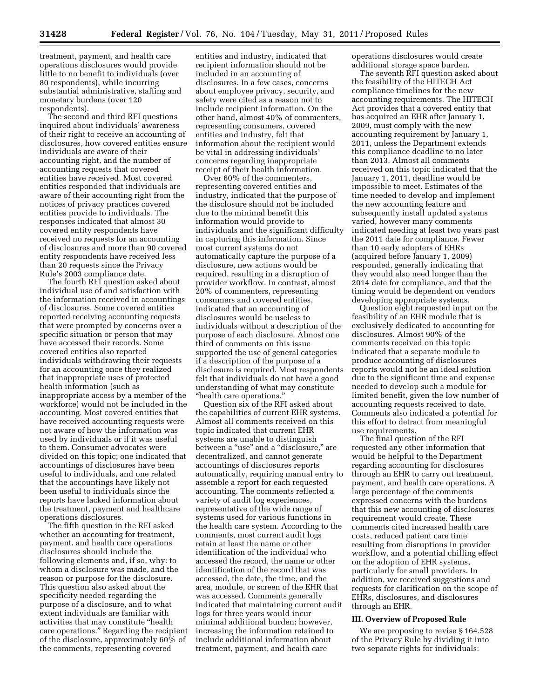treatment, payment, and health care operations disclosures would provide little to no benefit to individuals (over 80 respondents), while incurring substantial administrative, staffing and monetary burdens (over 120 respondents).

The second and third RFI questions inquired about individuals' awareness of their right to receive an accounting of disclosures, how covered entities ensure individuals are aware of their accounting right, and the number of accounting requests that covered entities have received. Most covered entities responded that individuals are aware of their accounting right from the notices of privacy practices covered entities provide to individuals. The responses indicated that almost 30 covered entity respondents have received no requests for an accounting of disclosures and more than 90 covered entity respondents have received less than 20 requests since the Privacy Rule's 2003 compliance date.

The fourth RFI question asked about individual use of and satisfaction with the information received in accountings of disclosures. Some covered entities reported receiving accounting requests that were prompted by concerns over a specific situation or person that may have accessed their records. Some covered entities also reported individuals withdrawing their requests for an accounting once they realized that inappropriate uses of protected health information (such as inappropriate access by a member of the workforce) would not be included in the accounting. Most covered entities that have received accounting requests were not aware of how the information was used by individuals or if it was useful to them. Consumer advocates were divided on this topic; one indicated that accountings of disclosures have been useful to individuals, and one related that the accountings have likely not been useful to individuals since the reports have lacked information about the treatment, payment and healthcare operations disclosures.

The fifth question in the RFI asked whether an accounting for treatment, payment, and health care operations disclosures should include the following elements and, if so, why: to whom a disclosure was made, and the reason or purpose for the disclosure. This question also asked about the specificity needed regarding the purpose of a disclosure, and to what extent individuals are familiar with activities that may constitute ''health care operations.'' Regarding the recipient of the disclosure, approximately 60% of the comments, representing covered

entities and industry, indicated that recipient information should not be included in an accounting of disclosures. In a few cases, concerns about employee privacy, security, and safety were cited as a reason not to include recipient information. On the other hand, almost 40% of commenters, representing consumers, covered entities and industry, felt that information about the recipient would be vital in addressing individuals' concerns regarding inappropriate receipt of their health information.

Over 60% of the commenters, representing covered entities and industry, indicated that the purpose of the disclosure should not be included due to the minimal benefit this information would provide to individuals and the significant difficulty in capturing this information. Since most current systems do not automatically capture the purpose of a disclosure, new actions would be required, resulting in a disruption of provider workflow. In contrast, almost 20% of commenters, representing consumers and covered entities, indicated that an accounting of disclosures would be useless to individuals without a description of the purpose of each disclosure. Almost one third of comments on this issue supported the use of general categories if a description of the purpose of a disclosure is required. Most respondents felt that individuals do not have a good understanding of what may constitute ''health care operations.''

Question six of the RFI asked about the capabilities of current EHR systems. Almost all comments received on this topic indicated that current EHR systems are unable to distinguish between a ''use'' and a ''disclosure,'' are decentralized, and cannot generate accountings of disclosures reports automatically, requiring manual entry to assemble a report for each requested accounting. The comments reflected a variety of audit log experiences, representative of the wide range of systems used for various functions in the health care system. According to the comments, most current audit logs retain at least the name or other identification of the individual who accessed the record, the name or other identification of the record that was accessed, the date, the time, and the area, module, or screen of the EHR that was accessed. Comments generally indicated that maintaining current audit logs for three years would incur minimal additional burden; however, increasing the information retained to include additional information about treatment, payment, and health care

operations disclosures would create additional storage space burden.

The seventh RFI question asked about the feasibility of the HITECH Act compliance timelines for the new accounting requirements. The HITECH Act provides that a covered entity that has acquired an EHR after January 1, 2009, must comply with the new accounting requirement by January 1, 2011, unless the Department extends this compliance deadline to no later than 2013. Almost all comments received on this topic indicated that the January 1, 2011, deadline would be impossible to meet. Estimates of the time needed to develop and implement the new accounting feature and subsequently install updated systems varied, however many comments indicated needing at least two years past the 2011 date for compliance. Fewer than 10 early adopters of EHRs (acquired before January 1, 2009) responded, generally indicating that they would also need longer than the 2014 date for compliance, and that the timing would be dependent on vendors developing appropriate systems.

Question eight requested input on the feasibility of an EHR module that is exclusively dedicated to accounting for disclosures. Almost 90% of the comments received on this topic indicated that a separate module to produce accounting of disclosures reports would not be an ideal solution due to the significant time and expense needed to develop such a module for limited benefit, given the low number of accounting requests received to date. Comments also indicated a potential for this effort to detract from meaningful use requirements.

The final question of the RFI requested any other information that would be helpful to the Department regarding accounting for disclosures through an EHR to carry out treatment, payment, and health care operations. A large percentage of the comments expressed concerns with the burdens that this new accounting of disclosures requirement would create. These comments cited increased health care costs, reduced patient care time resulting from disruptions in provider workflow, and a potential chilling effect on the adoption of EHR systems, particularly for small providers. In addition, we received suggestions and requests for clarification on the scope of EHRs, disclosures, and disclosures through an EHR.

# **III. Overview of Proposed Rule**

We are proposing to revise § 164.528 of the Privacy Rule by dividing it into two separate rights for individuals: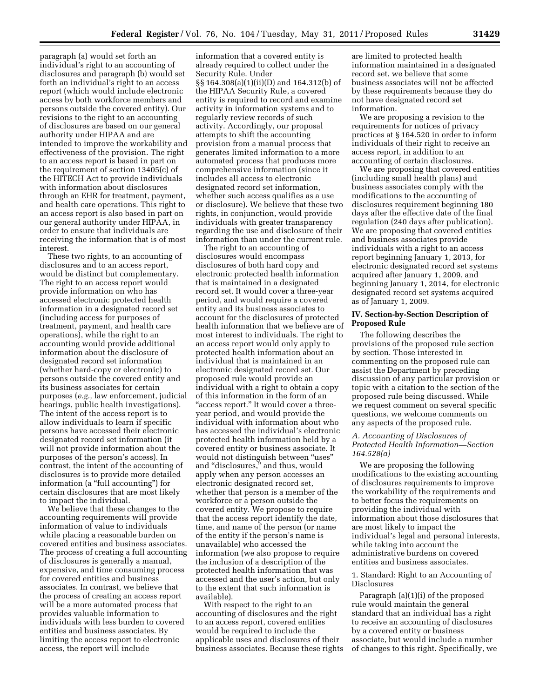paragraph (a) would set forth an individual's right to an accounting of disclosures and paragraph (b) would set forth an individual's right to an access report (which would include electronic access by both workforce members and persons outside the covered entity). Our revisions to the right to an accounting of disclosures are based on our general authority under HIPAA and are intended to improve the workability and effectiveness of the provision. The right to an access report is based in part on the requirement of section 13405(c) of the HITECH Act to provide individuals with information about disclosures through an EHR for treatment, payment, and health care operations. This right to an access report is also based in part on our general authority under HIPAA, in order to ensure that individuals are receiving the information that is of most interest.

These two rights, to an accounting of disclosures and to an access report, would be distinct but complementary. The right to an access report would provide information on who has accessed electronic protected health information in a designated record set (including access for purposes of treatment, payment, and health care operations), while the right to an accounting would provide additional information about the disclosure of designated record set information (whether hard-copy or electronic) to persons outside the covered entity and its business associates for certain purposes (*e.g.,* law enforcement, judicial hearings, public health investigations). The intent of the access report is to allow individuals to learn if specific persons have accessed their electronic designated record set information (it will not provide information about the purposes of the person's access). In contrast, the intent of the accounting of disclosures is to provide more detailed information (a "full accounting") for certain disclosures that are most likely to impact the individual.

We believe that these changes to the accounting requirements will provide information of value to individuals while placing a reasonable burden on covered entities and business associates. The process of creating a full accounting of disclosures is generally a manual, expensive, and time consuming process for covered entities and business associates. In contrast, we believe that the process of creating an access report will be a more automated process that provides valuable information to individuals with less burden to covered entities and business associates. By limiting the access report to electronic access, the report will include

information that a covered entity is already required to collect under the Security Rule. Under §§ 164.308(a)(1)(ii)(D) and 164.312(b) of the HIPAA Security Rule, a covered entity is required to record and examine activity in information systems and to regularly review records of such activity. Accordingly, our proposal attempts to shift the accounting provision from a manual process that generates limited information to a more automated process that produces more comprehensive information (since it includes all access to electronic designated record set information, whether such access qualifies as a use or disclosure). We believe that these two rights, in conjunction, would provide individuals with greater transparency regarding the use and disclosure of their information than under the current rule.

The right to an accounting of disclosures would encompass disclosures of both hard copy and electronic protected health information that is maintained in a designated record set. It would cover a three-year period, and would require a covered entity and its business associates to account for the disclosures of protected health information that we believe are of most interest to individuals. The right to an access report would only apply to protected health information about an individual that is maintained in an electronic designated record set. Our proposed rule would provide an individual with a right to obtain a copy of this information in the form of an ''access report.'' It would cover a threeyear period, and would provide the individual with information about who has accessed the individual's electronic protected health information held by a covered entity or business associate. It would not distinguish between ''uses'' and ''disclosures,'' and thus, would apply when any person accesses an electronic designated record set, whether that person is a member of the workforce or a person outside the covered entity. We propose to require that the access report identify the date, time, and name of the person (or name of the entity if the person's name is unavailable) who accessed the information (we also propose to require the inclusion of a description of the protected health information that was accessed and the user's action, but only to the extent that such information is available).

With respect to the right to an accounting of disclosures and the right to an access report, covered entities would be required to include the applicable uses and disclosures of their business associates. Because these rights

are limited to protected health information maintained in a designated record set, we believe that some business associates will not be affected by these requirements because they do not have designated record set information.

We are proposing a revision to the requirements for notices of privacy practices at § 164.520 in order to inform individuals of their right to receive an access report, in addition to an accounting of certain disclosures.

We are proposing that covered entities (including small health plans) and business associates comply with the modifications to the accounting of disclosures requirement beginning 180 days after the effective date of the final regulation (240 days after publication). We are proposing that covered entities and business associates provide individuals with a right to an access report beginning January 1, 2013, for electronic designated record set systems acquired after January 1, 2009, and beginning January 1, 2014, for electronic designated record set systems acquired as of January 1, 2009.

# **IV. Section-by-Section Description of Proposed Rule**

The following describes the provisions of the proposed rule section by section. Those interested in commenting on the proposed rule can assist the Department by preceding discussion of any particular provision or topic with a citation to the section of the proposed rule being discussed. While we request comment on several specific questions, we welcome comments on any aspects of the proposed rule.

# *A. Accounting of Disclosures of Protected Health Information—Section 164.528(a)*

We are proposing the following modifications to the existing accounting of disclosures requirements to improve the workability of the requirements and to better focus the requirements on providing the individual with information about those disclosures that are most likely to impact the individual's legal and personal interests, while taking into account the administrative burdens on covered entities and business associates.

# 1. Standard: Right to an Accounting of Disclosures

Paragraph (a)(1)(i) of the proposed rule would maintain the general standard that an individual has a right to receive an accounting of disclosures by a covered entity or business associate, but would include a number of changes to this right. Specifically, we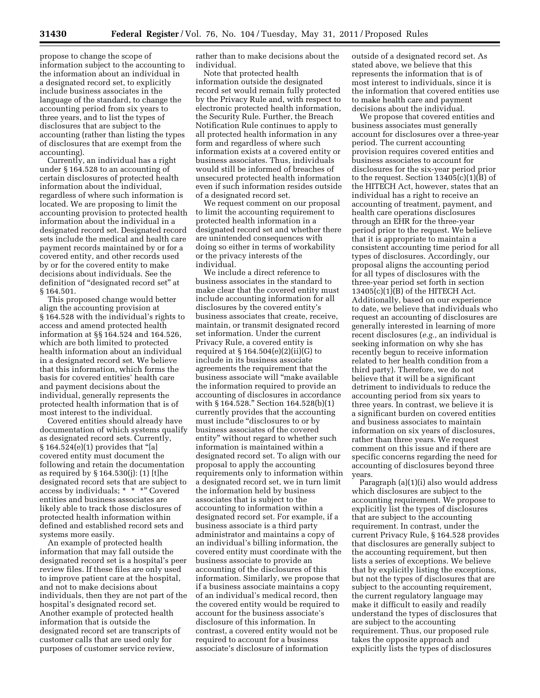propose to change the scope of information subject to the accounting to the information about an individual in a designated record set, to explicitly include business associates in the language of the standard, to change the accounting period from six years to three years, and to list the types of disclosures that are subject to the accounting (rather than listing the types of disclosures that are exempt from the accounting).

Currently, an individual has a right under § 164.528 to an accounting of certain disclosures of protected health information about the individual, regardless of where such information is located. We are proposing to limit the accounting provision to protected health information about the individual in a designated record set. Designated record sets include the medical and health care payment records maintained by or for a covered entity, and other records used by or for the covered entity to make decisions about individuals. See the definition of ''designated record set'' at § 164.501.

This proposed change would better align the accounting provision at § 164.528 with the individual's rights to access and amend protected health information at §§ 164.524 and 164.526, which are both limited to protected health information about an individual in a designated record set. We believe that this information, which forms the basis for covered entities' health care and payment decisions about the individual, generally represents the protected health information that is of most interest to the individual.

Covered entities should already have documentation of which systems qualify as designated record sets. Currently,  $§ 164.524(e)(1)$  provides that "[a] covered entity must document the following and retain the documentation as required by § 164.530(j): (1) [t]he designated record sets that are subject to access by individuals; \* \* \*'' Covered entities and business associates are likely able to track those disclosures of protected health information within defined and established record sets and systems more easily.

An example of protected health information that may fall outside the designated record set is a hospital's peer review files. If these files are only used to improve patient care at the hospital, and not to make decisions about individuals, then they are not part of the hospital's designated record set. Another example of protected health information that is outside the designated record set are transcripts of customer calls that are used only for purposes of customer service review,

rather than to make decisions about the individual.

Note that protected health information outside the designated record set would remain fully protected by the Privacy Rule and, with respect to electronic protected health information, the Security Rule. Further, the Breach Notification Rule continues to apply to all protected health information in any form and regardless of where such information exists at a covered entity or business associates. Thus, individuals would still be informed of breaches of unsecured protected health information even if such information resides outside of a designated record set.

We request comment on our proposal to limit the accounting requirement to protected health information in a designated record set and whether there are unintended consequences with doing so either in terms of workability or the privacy interests of the individual.

We include a direct reference to business associates in the standard to make clear that the covered entity must include accounting information for all disclosures by the covered entity's business associates that create, receive, maintain, or transmit designated record set information. Under the current Privacy Rule, a covered entity is required at § 164.504(e)(2)(ii)(G) to include in its business associate agreements the requirement that the business associate will ''make available the information required to provide an accounting of disclosures in accordance with § 164.528.'' Section 164.528(b)(1) currently provides that the accounting must include ''disclosures to or by business associates of the covered entity'' without regard to whether such information is maintained within a designated record set. To align with our proposal to apply the accounting requirements only to information within a designated record set, we in turn limit the information held by business associates that is subject to the accounting to information within a designated record set. For example, if a business associate is a third party administrator and maintains a copy of an individual's billing information, the covered entity must coordinate with the business associate to provide an accounting of the disclosures of this information. Similarly, we propose that if a business associate maintains a copy of an individual's medical record, then the covered entity would be required to account for the business associate's disclosure of this information. In contrast, a covered entity would not be required to account for a business associate's disclosure of information

outside of a designated record set. As stated above, we believe that this represents the information that is of most interest to individuals, since it is the information that covered entities use to make health care and payment decisions about the individual.

We propose that covered entities and business associates must generally account for disclosures over a three-year period. The current accounting provision requires covered entities and business associates to account for disclosures for the six-year period prior to the request. Section  $13405(c)(1)(B)$  of the HITECH Act, however, states that an individual has a right to receive an accounting of treatment, payment, and health care operations disclosures through an EHR for the three-year period prior to the request. We believe that it is appropriate to maintain a consistent accounting time period for all types of disclosures. Accordingly, our proposal aligns the accounting period for all types of disclosures with the three-year period set forth in section 13405(c)(1)(B) of the HITECH Act. Additionally, based on our experience to date, we believe that individuals who request an accounting of disclosures are generally interested in learning of more recent disclosures (*e.g.,* an individual is seeking information on why she has recently begun to receive information related to her health condition from a third party). Therefore, we do not believe that it will be a significant detriment to individuals to reduce the accounting period from six years to three years. In contrast, we believe it is a significant burden on covered entities and business associates to maintain information on six years of disclosures, rather than three years. We request comment on this issue and if there are specific concerns regarding the need for accounting of disclosures beyond three years.

Paragraph (a)(1)(i) also would address which disclosures are subject to the accounting requirement. We propose to explicitly list the types of disclosures that are subject to the accounting requirement. In contrast, under the current Privacy Rule, § 164.528 provides that disclosures are generally subject to the accounting requirement, but then lists a series of exceptions. We believe that by explicitly listing the exceptions, but not the types of disclosures that are subject to the accounting requirement, the current regulatory language may make it difficult to easily and readily understand the types of disclosures that are subject to the accounting requirement. Thus, our proposed rule takes the opposite approach and explicitly lists the types of disclosures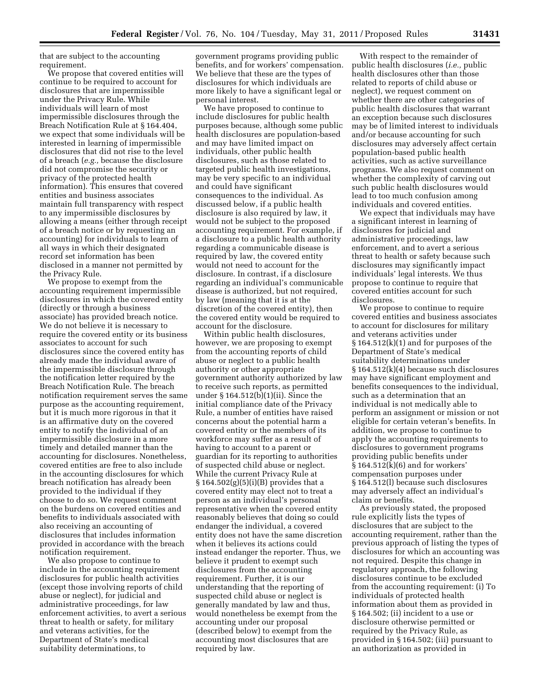that are subject to the accounting requirement.

We propose that covered entities will continue to be required to account for disclosures that are impermissible under the Privacy Rule. While individuals will learn of most impermissible disclosures through the Breach Notification Rule at § 164.404, we expect that some individuals will be interested in learning of impermissible disclosures that did not rise to the level of a breach (*e.g.,* because the disclosure did not compromise the security or privacy of the protected health information). This ensures that covered entities and business associates maintain full transparency with respect to any impermissible disclosures by allowing a means (either through receipt of a breach notice or by requesting an accounting) for individuals to learn of all ways in which their designated record set information has been disclosed in a manner not permitted by the Privacy Rule.

We propose to exempt from the accounting requirement impermissible disclosures in which the covered entity (directly or through a business associate) has provided breach notice. We do not believe it is necessary to require the covered entity or its business associates to account for such disclosures since the covered entity has already made the individual aware of the impermissible disclosure through the notification letter required by the Breach Notification Rule. The breach notification requirement serves the same purpose as the accounting requirement, but it is much more rigorous in that it is an affirmative duty on the covered entity to notify the individual of an impermissible disclosure in a more timely and detailed manner than the accounting for disclosures. Nonetheless, covered entities are free to also include in the accounting disclosures for which breach notification has already been provided to the individual if they choose to do so. We request comment on the burdens on covered entities and benefits to individuals associated with also receiving an accounting of disclosures that includes information provided in accordance with the breach notification requirement.

We also propose to continue to include in the accounting requirement disclosures for public health activities (except those involving reports of child abuse or neglect), for judicial and administrative proceedings, for law enforcement activities, to avert a serious threat to health or safety, for military and veterans activities, for the Department of State's medical suitability determinations, to

government programs providing public benefits, and for workers' compensation. We believe that these are the types of disclosures for which individuals are more likely to have a significant legal or personal interest.

We have proposed to continue to include disclosures for public health purposes because, although some public health disclosures are population-based and may have limited impact on individuals, other public health disclosures, such as those related to targeted public health investigations, may be very specific to an individual and could have significant consequences to the individual. As discussed below, if a public health disclosure is also required by law, it would not be subject to the proposed accounting requirement. For example, if a disclosure to a public health authority regarding a communicable disease is required by law, the covered entity would not need to account for the disclosure. In contrast, if a disclosure regarding an individual's communicable disease is authorized, but not required, by law (meaning that it is at the discretion of the covered entity), then the covered entity would be required to account for the disclosure.

Within public health disclosures, however, we are proposing to exempt from the accounting reports of child abuse or neglect to a public health authority or other appropriate government authority authorized by law to receive such reports, as permitted under § 164.512(b)(1)(ii). Since the initial compliance date of the Privacy Rule, a number of entities have raised concerns about the potential harm a covered entity or the members of its workforce may suffer as a result of having to account to a parent or guardian for its reporting to authorities of suspected child abuse or neglect. While the current Privacy Rule at  $\S 164.502(g)(5)(i)(B)$  provides that a covered entity may elect not to treat a person as an individual's personal representative when the covered entity reasonably believes that doing so could endanger the individual, a covered entity does not have the same discretion when it believes its actions could instead endanger the reporter. Thus, we believe it prudent to exempt such disclosures from the accounting requirement. Further, it is our understanding that the reporting of suspected child abuse or neglect is generally mandated by law and thus, would nonetheless be exempt from the accounting under our proposal (described below) to exempt from the accounting most disclosures that are required by law.

With respect to the remainder of public health disclosures (*i.e.,* public health disclosures other than those related to reports of child abuse or neglect), we request comment on whether there are other categories of public health disclosures that warrant an exception because such disclosures may be of limited interest to individuals and/or because accounting for such disclosures may adversely affect certain population-based public health activities, such as active surveillance programs. We also request comment on whether the complexity of carving out such public health disclosures would lead to too much confusion among individuals and covered entities.

We expect that individuals may have a significant interest in learning of disclosures for judicial and administrative proceedings, law enforcement, and to avert a serious threat to health or safety because such disclosures may significantly impact individuals' legal interests. We thus propose to continue to require that covered entities account for such disclosures.

We propose to continue to require covered entities and business associates to account for disclosures for military and veterans activities under § 164.512(k)(1) and for purposes of the Department of State's medical suitability determinations under § 164.512(k)(4) because such disclosures may have significant employment and benefits consequences to the individual, such as a determination that an individual is not medically able to perform an assignment or mission or not eligible for certain veteran's benefits. In addition, we propose to continue to apply the accounting requirements to disclosures to government programs providing public benefits under § 164.512(k)(6) and for workers' compensation purposes under § 164.512(l) because such disclosures may adversely affect an individual's claim or benefits.

As previously stated, the proposed rule explicitly lists the types of disclosures that are subject to the accounting requirement, rather than the previous approach of listing the types of disclosures for which an accounting was not required. Despite this change in regulatory approach, the following disclosures continue to be excluded from the accounting requirement: (i) To individuals of protected health information about them as provided in § 164.502; (ii) incident to a use or disclosure otherwise permitted or required by the Privacy Rule, as provided in § 164.502; (iii) pursuant to an authorization as provided in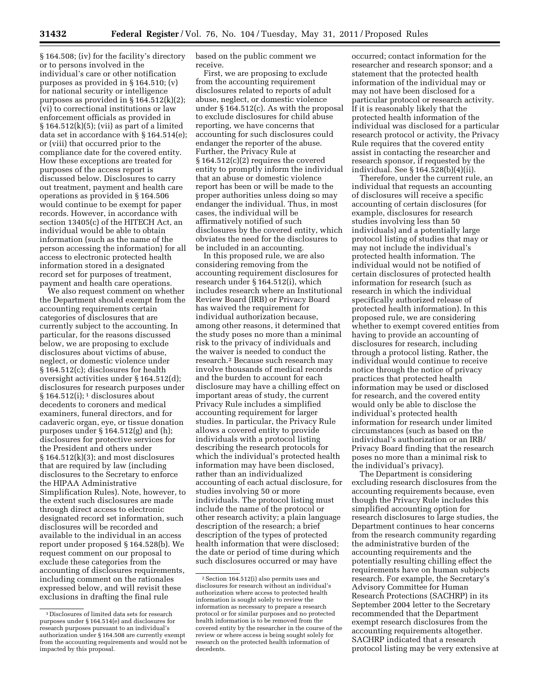§ 164.508; (iv) for the facility's directory or to persons involved in the individual's care or other notification purposes as provided in § 164.510; (v) for national security or intelligence purposes as provided in § 164.512(k)(2); (vi) to correctional institutions or law enforcement officials as provided in § 164.512(k)(5); (vii) as part of a limited data set in accordance with § 164.514(e); or (viii) that occurred prior to the compliance date for the covered entity. How these exceptions are treated for purposes of the access report is discussed below. Disclosures to carry out treatment, payment and health care operations as provided in § 164.506 would continue to be exempt for paper records. However, in accordance with section 13405(c) of the HITECH Act, an individual would be able to obtain information (such as the name of the person accessing the information) for all access to electronic protected health information stored in a designated record set for purposes of treatment, payment and health care operations.

We also request comment on whether the Department should exempt from the accounting requirements certain categories of disclosures that are currently subject to the accounting. In particular, for the reasons discussed below, we are proposing to exclude disclosures about victims of abuse, neglect, or domestic violence under § 164.512(c); disclosures for health oversight activities under § 164.512(d); disclosures for research purposes under  $§ 164.512(i);$ <sup>1</sup> disclosures about decedents to coroners and medical examiners, funeral directors, and for cadaveric organ, eye, or tissue donation purposes under § 164.512(g) and (h); disclosures for protective services for the President and others under  $§ 164.512(k)(3);$  and most disclosures that are required by law (including disclosures to the Secretary to enforce the HIPAA Administrative Simplification Rules). Note, however, to the extent such disclosures are made through direct access to electronic designated record set information, such disclosures will be recorded and available to the individual in an access report under proposed § 164.528(b). We request comment on our proposal to exclude these categories from the accounting of disclosures requirements, including comment on the rationales expressed below, and will revisit these exclusions in drafting the final rule

based on the public comment we receive.

First, we are proposing to exclude from the accounting requirement disclosures related to reports of adult abuse, neglect, or domestic violence under § 164.512(c). As with the proposal to exclude disclosures for child abuse reporting, we have concerns that accounting for such disclosures could endanger the reporter of the abuse. Further, the Privacy Rule at § 164.512(c)(2) requires the covered entity to promptly inform the individual that an abuse or domestic violence report has been or will be made to the proper authorities unless doing so may endanger the individual. Thus, in most cases, the individual will be affirmatively notified of such disclosures by the covered entity, which obviates the need for the disclosures to be included in an accounting.

In this proposed rule, we are also considering removing from the accounting requirement disclosures for research under § 164.512(i), which includes research where an Institutional Review Board (IRB) or Privacy Board has waived the requirement for individual authorization because, among other reasons, it determined that the study poses no more than a minimal risk to the privacy of individuals and the waiver is needed to conduct the research.2 Because such research may involve thousands of medical records and the burden to account for each disclosure may have a chilling effect on important areas of study, the current Privacy Rule includes a simplified accounting requirement for larger studies. In particular, the Privacy Rule allows a covered entity to provide individuals with a protocol listing describing the research protocols for which the individual's protected health information may have been disclosed, rather than an individualized accounting of each actual disclosure, for studies involving 50 or more individuals. The protocol listing must include the name of the protocol or other research activity; a plain language description of the research; a brief description of the types of protected health information that were disclosed; the date or period of time during which such disclosures occurred or may have

occurred; contact information for the researcher and research sponsor; and a statement that the protected health information of the individual may or may not have been disclosed for a particular protocol or research activity. If it is reasonably likely that the protected health information of the individual was disclosed for a particular research protocol or activity, the Privacy Rule requires that the covered entity assist in contacting the researcher and research sponsor, if requested by the individual. See § 164.528(b)(4)(ii).

Therefore, under the current rule, an individual that requests an accounting of disclosures will receive a specific accounting of certain disclosures (for example, disclosures for research studies involving less than 50 individuals) and a potentially large protocol listing of studies that may or may not include the individual's protected health information. The individual would not be notified of certain disclosures of protected health information for research (such as research in which the individual specifically authorized release of protected health information). In this proposed rule, we are considering whether to exempt covered entities from having to provide an accounting of disclosures for research, including through a protocol listing. Rather, the individual would continue to receive notice through the notice of privacy practices that protected health information may be used or disclosed for research, and the covered entity would only be able to disclose the individual's protected health information for research under limited circumstances (such as based on the individual's authorization or an IRB/ Privacy Board finding that the research poses no more than a minimal risk to the individual's privacy).

The Department is considering excluding research disclosures from the accounting requirements because, even though the Privacy Rule includes this simplified accounting option for research disclosures to large studies, the Department continues to hear concerns from the research community regarding the administrative burden of the accounting requirements and the potentially resulting chilling effect the requirements have on human subjects research. For example, the Secretary's Advisory Committee for Human Research Protections (SACHRP) in its September 2004 letter to the Secretary recommended that the Department exempt research disclosures from the accounting requirements altogether. SACHRP indicated that a research protocol listing may be very extensive at

<sup>1</sup> Disclosures of limited data sets for research purposes under § 164.514(e) and disclosures for research purposes pursuant to an individual's authorization under § 164.508 are currently exempt from the accounting requirements and would not be impacted by this proposal.

<sup>2</sup>Section 164.512(i) also permits uses and disclosures for research without an individual's authorization where access to protected health information is sought solely to review the information as necessary to prepare a research protocol or for similar purposes and no protected health information is to be removed from the covered entity by the researcher in the course of the review or where access is being sought solely for research on the protected health information of decedents.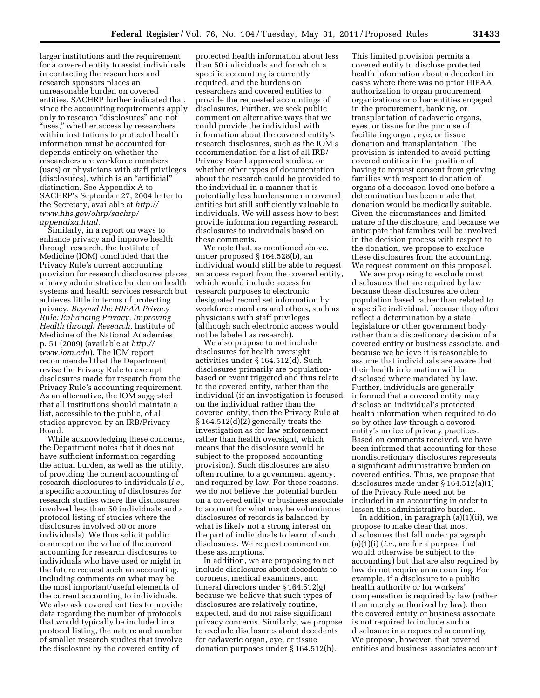larger institutions and the requirement for a covered entity to assist individuals in contacting the researchers and research sponsors places an unreasonable burden on covered entities. SACHRP further indicated that, since the accounting requirements apply only to research ''disclosures'' and not ''uses,'' whether access by researchers within institutions to protected health information must be accounted for depends entirely on whether the researchers are workforce members (uses) or physicians with staff privileges (disclosures), which is an ''artificial'' distinction. See Appendix A to SACHRP's September 27, 2004 letter to the Secretary, available at *[http://](http://www.hhs.gov/ohrp/sachrp/appendixa.html)  [www.hhs.gov/ohrp/sachrp/](http://www.hhs.gov/ohrp/sachrp/appendixa.html)  [appendixa.html.](http://www.hhs.gov/ohrp/sachrp/appendixa.html)* 

Similarly, in a report on ways to enhance privacy and improve health through research, the Institute of Medicine (IOM) concluded that the Privacy Rule's current accounting provision for research disclosures places a heavy administrative burden on health systems and health services research but achieves little in terms of protecting privacy. *Beyond the HIPAA Privacy Rule: Enhancing Privacy, Improving Health through Research,* Institute of Medicine of the National Academies p. 51 (2009) (available at *[http://](http://www.iom.edu) [www.iom.edu](http://www.iom.edu)*). The IOM report recommended that the Department revise the Privacy Rule to exempt disclosures made for research from the Privacy Rule's accounting requirement. As an alternative, the IOM suggested that all institutions should maintain a list, accessible to the public, of all studies approved by an IRB/Privacy Board.

While acknowledging these concerns, the Department notes that it does not have sufficient information regarding the actual burden, as well as the utility, of providing the current accounting of research disclosures to individuals (*i.e.,*  a specific accounting of disclosures for research studies where the disclosures involved less than 50 individuals and a protocol listing of studies where the disclosures involved 50 or more individuals). We thus solicit public comment on the value of the current accounting for research disclosures to individuals who have used or might in the future request such an accounting, including comments on what may be the most important/useful elements of the current accounting to individuals. We also ask covered entities to provide data regarding the number of protocols that would typically be included in a protocol listing, the nature and number of smaller research studies that involve the disclosure by the covered entity of

protected health information about less than 50 individuals and for which a specific accounting is currently required, and the burdens on researchers and covered entities to provide the requested accountings of disclosures. Further, we seek public comment on alternative ways that we could provide the individual with information about the covered entity's research disclosures, such as the IOM's recommendation for a list of all IRB/ Privacy Board approved studies, or whether other types of documentation about the research could be provided to the individual in a manner that is potentially less burdensome on covered entities but still sufficiently valuable to individuals. We will assess how to best provide information regarding research disclosures to individuals based on these comments.

We note that, as mentioned above, under proposed § 164.528(b), an individual would still be able to request an access report from the covered entity, which would include access for research purposes to electronic designated record set information by workforce members and others, such as physicians with staff privileges (although such electronic access would not be labeled as research).

We also propose to not include disclosures for health oversight activities under § 164.512(d). Such disclosures primarily are populationbased or event triggered and thus relate to the covered entity, rather than the individual (if an investigation is focused on the individual rather than the covered entity, then the Privacy Rule at § 164.512(d)(2) generally treats the investigation as for law enforcement rather than health oversight, which means that the disclosure would be subject to the proposed accounting provision). Such disclosures are also often routine, to a government agency, and required by law. For these reasons, we do not believe the potential burden on a covered entity or business associate to account for what may be voluminous disclosures of records is balanced by what is likely not a strong interest on the part of individuals to learn of such disclosures. We request comment on these assumptions.

In addition, we are proposing to not include disclosures about decedents to coroners, medical examiners, and funeral directors under § 164.512(g) because we believe that such types of disclosures are relatively routine, expected, and do not raise significant privacy concerns. Similarly, we propose to exclude disclosures about decedents for cadaveric organ, eye, or tissue donation purposes under § 164.512(h).

This limited provision permits a covered entity to disclose protected health information about a decedent in cases where there was no prior HIPAA authorization to organ procurement organizations or other entities engaged in the procurement, banking, or transplantation of cadaveric organs, eyes, or tissue for the purpose of facilitating organ, eye, or tissue donation and transplantation. The provision is intended to avoid putting covered entities in the position of having to request consent from grieving families with respect to donation of organs of a deceased loved one before a determination has been made that donation would be medically suitable. Given the circumstances and limited nature of the disclosure, and because we anticipate that families will be involved in the decision process with respect to the donation, we propose to exclude these disclosures from the accounting. We request comment on this proposal.

We are proposing to exclude most disclosures that are required by law because these disclosures are often population based rather than related to a specific individual, because they often reflect a determination by a state legislature or other government body rather than a discretionary decision of a covered entity or business associate, and because we believe it is reasonable to assume that individuals are aware that their health information will be disclosed where mandated by law. Further, individuals are generally informed that a covered entity may disclose an individual's protected health information when required to do so by other law through a covered entity's notice of privacy practices. Based on comments received, we have been informed that accounting for these nondiscretionary disclosures represents a significant administrative burden on covered entities. Thus, we propose that disclosures made under § 164.512(a)(1) of the Privacy Rule need not be included in an accounting in order to lessen this administrative burden.

In addition, in paragraph (a)(1)(ii), we propose to make clear that most disclosures that fall under paragraph (a)(1)(i) (*i.e.,* are for a purpose that would otherwise be subject to the accounting) but that are also required by law do not require an accounting. For example, if a disclosure to a public health authority or for workers' compensation is required by law (rather than merely authorized by law), then the covered entity or business associate is not required to include such a disclosure in a requested accounting. We propose, however, that covered entities and business associates account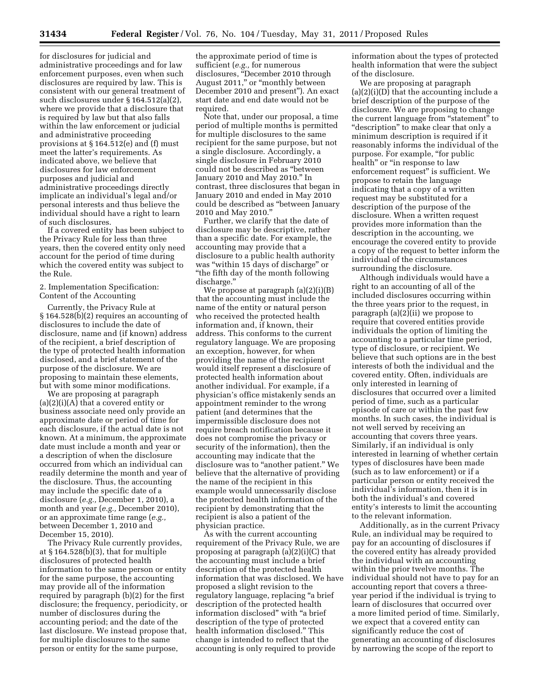for disclosures for judicial and administrative proceedings and for law enforcement purposes, even when such disclosures are required by law. This is consistent with our general treatment of such disclosures under § 164.512(a)(2), where we provide that a disclosure that is required by law but that also falls within the law enforcement or judicial and administrative proceeding provisions at § 164.512(e) and (f) must meet the latter's requirements. As indicated above, we believe that disclosures for law enforcement purposes and judicial and administrative proceedings directly implicate an individual's legal and/or personal interests and thus believe the individual should have a right to learn of such disclosures.

If a covered entity has been subject to the Privacy Rule for less than three years, then the covered entity only need account for the period of time during which the covered entity was subject to the Rule.

2. Implementation Specification: Content of the Accounting

Currently, the Privacy Rule at § 164.528(b)(2) requires an accounting of disclosures to include the date of disclosure, name and (if known) address of the recipient, a brief description of the type of protected health information disclosed, and a brief statement of the purpose of the disclosure. We are proposing to maintain these elements, but with some minor modifications.

We are proposing at paragraph  $(a)(2)(i)(A)$  that a covered entity or business associate need only provide an approximate date or period of time for each disclosure, if the actual date is not known. At a minimum, the approximate date must include a month and year or a description of when the disclosure occurred from which an individual can readily determine the month and year of the disclosure. Thus, the accounting may include the specific date of a disclosure (*e.g.,* December 1, 2010), a month and year (*e.g.,* December 2010), or an approximate time range (*e.g.,*  between December 1, 2010 and December 15, 2010).

The Privacy Rule currently provides, at § 164.528(b)(3), that for multiple disclosures of protected health information to the same person or entity for the same purpose, the accounting may provide all of the information required by paragraph (b)(2) for the first disclosure; the frequency, periodicity, or number of disclosures during the accounting period; and the date of the last disclosure. We instead propose that, for multiple disclosures to the same person or entity for the same purpose,

the approximate period of time is sufficient (*e.g.,* for numerous disclosures, ''December 2010 through August 2011," or "monthly between December 2010 and present''). An exact start date and end date would not be required.

Note that, under our proposal, a time period of multiple months is permitted for multiple disclosures to the same recipient for the same purpose, but not a single disclosure. Accordingly, a single disclosure in February 2010 could not be described as ''between January 2010 and May 2010.'' In contrast, three disclosures that began in January 2010 and ended in May 2010 could be described as ''between January 2010 and May 2010.''

Further, we clarify that the date of disclosure may be descriptive, rather than a specific date. For example, the accounting may provide that a disclosure to a public health authority was ''within 15 days of discharge'' or ''the fifth day of the month following discharge.''

We propose at paragraph (a)(2)(i)(B) that the accounting must include the name of the entity or natural person who received the protected health information and, if known, their address. This conforms to the current regulatory language. We are proposing an exception, however, for when providing the name of the recipient would itself represent a disclosure of protected health information about another individual. For example, if a physician's office mistakenly sends an appointment reminder to the wrong patient (and determines that the impermissible disclosure does not require breach notification because it does not compromise the privacy or security of the information), then the accounting may indicate that the disclosure was to "another patient." We believe that the alternative of providing the name of the recipient in this example would unnecessarily disclose the protected health information of the recipient by demonstrating that the recipient is also a patient of the physician practice.

As with the current accounting requirement of the Privacy Rule, we are proposing at paragraph (a)(2)(i)(C) that the accounting must include a brief description of the protected health information that was disclosed. We have proposed a slight revision to the regulatory language, replacing ''a brief description of the protected health information disclosed'' with ''a brief description of the type of protected health information disclosed.'' This change is intended to reflect that the accounting is only required to provide

information about the types of protected health information that were the subject of the disclosure.

We are proposing at paragraph (a)(2)(i)(D) that the accounting include a brief description of the purpose of the disclosure. We are proposing to change the current language from "statement" to ''description'' to make clear that only a minimum description is required if it reasonably informs the individual of the purpose. For example, "for public health'' or ''in response to law enforcement request'' is sufficient. We propose to retain the language indicating that a copy of a written request may be substituted for a description of the purpose of the disclosure. When a written request provides more information than the description in the accounting, we encourage the covered entity to provide a copy of the request to better inform the individual of the circumstances surrounding the disclosure.

Although individuals would have a right to an accounting of all of the included disclosures occurring within the three years prior to the request, in paragraph (a)(2)(ii) we propose to require that covered entities provide individuals the option of limiting the accounting to a particular time period, type of disclosure, or recipient. We believe that such options are in the best interests of both the individual and the covered entity. Often, individuals are only interested in learning of disclosures that occurred over a limited period of time, such as a particular episode of care or within the past few months. In such cases, the individual is not well served by receiving an accounting that covers three years. Similarly, if an individual is only interested in learning of whether certain types of disclosures have been made (such as to law enforcement) or if a particular person or entity received the individual's information, then it is in both the individual's and covered entity's interests to limit the accounting to the relevant information.

Additionally, as in the current Privacy Rule, an individual may be required to pay for an accounting of disclosures if the covered entity has already provided the individual with an accounting within the prior twelve months. The individual should not have to pay for an accounting report that covers a threeyear period if the individual is trying to learn of disclosures that occurred over a more limited period of time. Similarly, we expect that a covered entity can significantly reduce the cost of generating an accounting of disclosures by narrowing the scope of the report to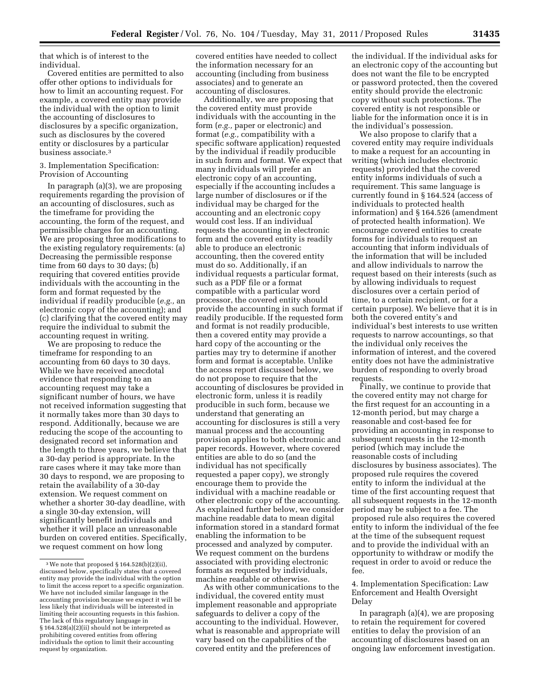that which is of interest to the individual.

Covered entities are permitted to also offer other options to individuals for how to limit an accounting request. For example, a covered entity may provide the individual with the option to limit the accounting of disclosures to disclosures by a specific organization, such as disclosures by the covered entity or disclosures by a particular business associate.3

# 3. Implementation Specification: Provision of Accounting

In paragraph (a)(3), we are proposing requirements regarding the provision of an accounting of disclosures, such as the timeframe for providing the accounting, the form of the request, and permissible charges for an accounting. We are proposing three modifications to the existing regulatory requirements: (a) Decreasing the permissible response time from 60 days to 30 days; (b) requiring that covered entities provide individuals with the accounting in the form and format requested by the individual if readily producible (*e.g.,* an electronic copy of the accounting); and (c) clarifying that the covered entity may require the individual to submit the accounting request in writing.

We are proposing to reduce the timeframe for responding to an accounting from 60 days to 30 days. While we have received anecdotal evidence that responding to an accounting request may take a significant number of hours, we have not received information suggesting that it normally takes more than 30 days to respond. Additionally, because we are reducing the scope of the accounting to designated record set information and the length to three years, we believe that a 30-day period is appropriate. In the rare cases where it may take more than 30 days to respond, we are proposing to retain the availability of a 30-day extension. We request comment on whether a shorter 30-day deadline, with a single 30-day extension, will significantly benefit individuals and whether it will place an unreasonable burden on covered entities. Specifically, we request comment on how long

covered entities have needed to collect the information necessary for an accounting (including from business associates) and to generate an accounting of disclosures.

Additionally, we are proposing that the covered entity must provide individuals with the accounting in the form (*e.g.,* paper or electronic) and format (*e.g.,* compatibility with a specific software application) requested by the individual if readily producible in such form and format. We expect that many individuals will prefer an electronic copy of an accounting, especially if the accounting includes a large number of disclosures or if the individual may be charged for the accounting and an electronic copy would cost less. If an individual requests the accounting in electronic form and the covered entity is readily able to produce an electronic accounting, then the covered entity must do so. Additionally, if an individual requests a particular format, such as a PDF file or a format compatible with a particular word processor, the covered entity should provide the accounting in such format if readily producible. If the requested form and format is not readily producible, then a covered entity may provide a hard copy of the accounting or the parties may try to determine if another form and format is acceptable. Unlike the access report discussed below, we do not propose to require that the accounting of disclosures be provided in electronic form, unless it is readily producible in such form, because we understand that generating an accounting for disclosures is still a very manual process and the accounting provision applies to both electronic and paper records. However, where covered entities are able to do so (and the individual has not specifically requested a paper copy), we strongly encourage them to provide the individual with a machine readable or other electronic copy of the accounting. As explained further below, we consider machine readable data to mean digital information stored in a standard format enabling the information to be processed and analyzed by computer. We request comment on the burdens associated with providing electronic formats as requested by individuals, machine readable or otherwise.

As with other communications to the individual, the covered entity must implement reasonable and appropriate safeguards to deliver a copy of the accounting to the individual. However, what is reasonable and appropriate will vary based on the capabilities of the covered entity and the preferences of

the individual. If the individual asks for an electronic copy of the accounting but does not want the file to be encrypted or password protected, then the covered entity should provide the electronic copy without such protections. The covered entity is not responsible or liable for the information once it is in the individual's possession.

We also propose to clarify that a covered entity may require individuals to make a request for an accounting in writing (which includes electronic requests) provided that the covered entity informs individuals of such a requirement. This same language is currently found in § 164.524 (access of individuals to protected health information) and § 164.526 (amendment of protected health information). We encourage covered entities to create forms for individuals to request an accounting that inform individuals of the information that will be included and allow individuals to narrow the request based on their interests (such as by allowing individuals to request disclosures over a certain period of time, to a certain recipient, or for a certain purpose). We believe that it is in both the covered entity's and individual's best interests to use written requests to narrow accountings, so that the individual only receives the information of interest, and the covered entity does not have the administrative burden of responding to overly broad requests.

Finally, we continue to provide that the covered entity may not charge for the first request for an accounting in a 12-month period, but may charge a reasonable and cost-based fee for providing an accounting in response to subsequent requests in the 12-month period (which may include the reasonable costs of including disclosures by business associates). The proposed rule requires the covered entity to inform the individual at the time of the first accounting request that all subsequent requests in the 12-month period may be subject to a fee. The proposed rule also requires the covered entity to inform the individual of the fee at the time of the subsequent request and to provide the individual with an opportunity to withdraw or modify the request in order to avoid or reduce the fee.

4. Implementation Specification: Law Enforcement and Health Oversight Delay

In paragraph (a)(4), we are proposing to retain the requirement for covered entities to delay the provision of an accounting of disclosures based on an ongoing law enforcement investigation.

<sup>3</sup>We note that proposed § 164.528(b)(2)(ii), discussed below, specifically states that a covered entity may provide the individual with the option to limit the access report to a specific organization. We have not included similar language in the accounting provision because we expect it will be less likely that individuals will be interested in limiting their accounting requests in this fashion. The lack of this regulatory language in § 164.528(a)(2)(ii) should not be interpreted as prohibiting covered entities from offering individuals the option to limit their accounting request by organization.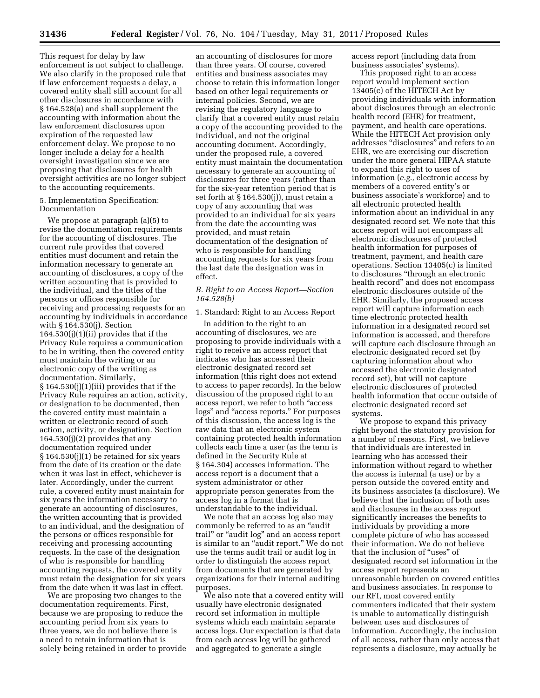This request for delay by law enforcement is not subject to challenge. We also clarify in the proposed rule that if law enforcement requests a delay, a covered entity shall still account for all other disclosures in accordance with § 164.528(a) and shall supplement the accounting with information about the law enforcement disclosures upon expiration of the requested law enforcement delay. We propose to no longer include a delay for a health oversight investigation since we are proposing that disclosures for health oversight activities are no longer subject to the accounting requirements.

# 5. Implementation Specification: Documentation

We propose at paragraph (a)(5) to revise the documentation requirements for the accounting of disclosures. The current rule provides that covered entities must document and retain the information necessary to generate an accounting of disclosures, a copy of the written accounting that is provided to the individual, and the titles of the persons or offices responsible for receiving and processing requests for an accounting by individuals in accordance with § 164.530(j). Section  $164.530(j)(1)(ii)$  provides that if the Privacy Rule requires a communication to be in writing, then the covered entity must maintain the writing or an electronic copy of the writing as documentation. Similarly, § 164.530(j)(1)(iii) provides that if the Privacy Rule requires an action, activity, or designation to be documented, then the covered entity must maintain a written or electronic record of such action, activity, or designation. Section  $164.530(j)(2)$  provides that any documentation required under § 164.530(j)(1) be retained for six years from the date of its creation or the date when it was last in effect, whichever is later. Accordingly, under the current rule, a covered entity must maintain for six years the information necessary to generate an accounting of disclosures, the written accounting that is provided to an individual, and the designation of the persons or offices responsible for receiving and processing accounting requests. In the case of the designation of who is responsible for handling accounting requests, the covered entity must retain the designation for six years from the date when it was last in effect.

We are proposing two changes to the documentation requirements. First, because we are proposing to reduce the accounting period from six years to three years, we do not believe there is a need to retain information that is solely being retained in order to provide

an accounting of disclosures for more than three years. Of course, covered entities and business associates may choose to retain this information longer based on other legal requirements or internal policies. Second, we are revising the regulatory language to clarify that a covered entity must retain a copy of the accounting provided to the individual, and not the original accounting document. Accordingly, under the proposed rule, a covered entity must maintain the documentation necessary to generate an accounting of disclosures for three years (rather than for the six-year retention period that is set forth at § 164.530(j)), must retain a copy of any accounting that was provided to an individual for six years from the date the accounting was provided, and must retain documentation of the designation of who is responsible for handling accounting requests for six years from the last date the designation was in effect.

# *B. Right to an Access Report—Section 164.528(b)*

1. Standard: Right to an Access Report

In addition to the right to an accounting of disclosures, we are proposing to provide individuals with a right to receive an access report that indicates who has accessed their electronic designated record set information (this right does not extend to access to paper records). In the below discussion of the proposed right to an access report, we refer to both ''access logs'' and ''access reports.'' For purposes of this discussion, the access log is the raw data that an electronic system containing protected health information collects each time a user (as the term is defined in the Security Rule at § 164.304) accesses information. The access report is a document that a system administrator or other appropriate person generates from the access log in a format that is understandable to the individual.

We note that an access log also may commonly be referred to as an ''audit trail'' or ''audit log'' and an access report is similar to an ''audit report.'' We do not use the terms audit trail or audit log in order to distinguish the access report from documents that are generated by organizations for their internal auditing purposes.

We also note that a covered entity will usually have electronic designated record set information in multiple systems which each maintain separate access logs. Our expectation is that data from each access log will be gathered and aggregated to generate a single

access report (including data from business associates' systems).

This proposed right to an access report would implement section 13405(c) of the HITECH Act by providing individuals with information about disclosures through an electronic health record (EHR) for treatment, payment, and health care operations. While the HITECH Act provision only addresses ''disclosures'' and refers to an EHR, we are exercising our discretion under the more general HIPAA statute to expand this right to uses of information (*e.g.,* electronic access by members of a covered entity's or business associate's workforce) and to all electronic protected health information about an individual in any designated record set. We note that this access report will not encompass all electronic disclosures of protected health information for purposes of treatment, payment, and health care operations. Section 13405(c) is limited to disclosures ''through an electronic health record'' and does not encompass electronic disclosures outside of the EHR. Similarly, the proposed access report will capture information each time electronic protected health information in a designated record set information is accessed, and therefore will capture each disclosure through an electronic designated record set (by capturing information about who accessed the electronic designated record set), but will not capture electronic disclosures of protected health information that occur outside of electronic designated record set systems.

We propose to expand this privacy right beyond the statutory provision for a number of reasons. First, we believe that individuals are interested in learning who has accessed their information without regard to whether the access is internal (a use) or by a person outside the covered entity and its business associates (a disclosure). We believe that the inclusion of both uses and disclosures in the access report significantly increases the benefits to individuals by providing a more complete picture of who has accessed their information. We do not believe that the inclusion of "uses" of designated record set information in the access report represents an unreasonable burden on covered entities and business associates. In response to our RFI, most covered entity commenters indicated that their system is unable to automatically distinguish between uses and disclosures of information. Accordingly, the inclusion of all access, rather than only access that represents a disclosure, may actually be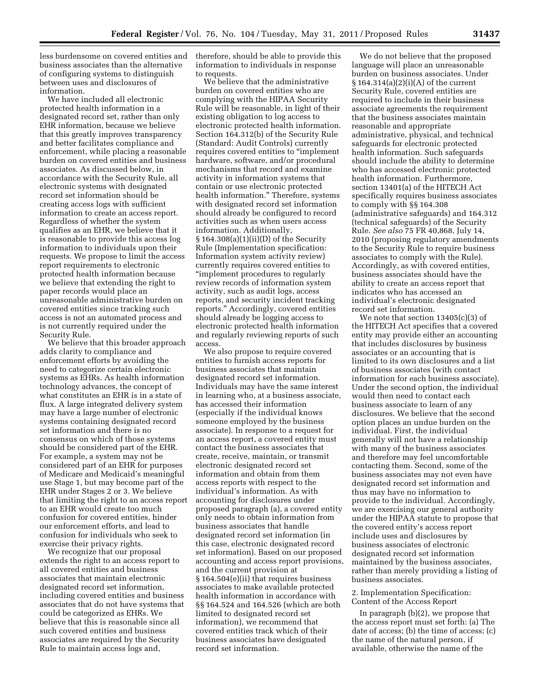less burdensome on covered entities and business associates than the alternative of configuring systems to distinguish between uses and disclosures of information.

We have included all electronic protected health information in a designated record set, rather than only EHR information, because we believe that this greatly improves transparency and better facilitates compliance and enforcement, while placing a reasonable burden on covered entities and business associates. As discussed below, in accordance with the Security Rule, all electronic systems with designated record set information should be creating access logs with sufficient information to create an access report. Regardless of whether the system qualifies as an EHR, we believe that it is reasonable to provide this access log information to individuals upon their requests. We propose to limit the access report requirements to electronic protected health information because we believe that extending the right to paper records would place an unreasonable administrative burden on covered entities since tracking such access is not an automated process and is not currently required under the Security Rule.

We believe that this broader approach adds clarity to compliance and enforcement efforts by avoiding the need to categorize certain electronic systems as EHRs. As health information technology advances, the concept of what constitutes an EHR is in a state of flux. A large integrated delivery system may have a large number of electronic systems containing designated record set information and there is no consensus on which of those systems should be considered part of the EHR. For example, a system may not be considered part of an EHR for purposes of Medicare and Medicaid's meaningful use Stage 1, but may become part of the EHR under Stages 2 or 3. We believe that limiting the right to an access report to an EHR would create too much confusion for covered entities, hinder our enforcement efforts, and lead to confusion for individuals who seek to exercise their privacy rights.

We recognize that our proposal extends the right to an access report to all covered entities and business associates that maintain electronic designated record set information, including covered entities and business associates that do not have systems that could be categorized as EHRs. We believe that this is reasonable since all such covered entities and business associates are required by the Security Rule to maintain access logs and,

therefore, should be able to provide this information to individuals in response to requests.

We believe that the administrative burden on covered entities who are complying with the HIPAA Security Rule will be reasonable, in light of their existing obligation to log access to electronic protected health information. Section 164.312(b) of the Security Rule (Standard: Audit Controls) currently requires covered entities to ''implement hardware, software, and/or procedural mechanisms that record and examine activity in information systems that contain or use electronic protected health information.'' Therefore, systems with designated record set information should already be configured to record activities such as when users access information. Additionally, § 164.308(a)(1)(ii)(D) of the Security Rule (Implementation specification: Information system activity review) currently requires covered entities to ''implement procedures to regularly review records of information system activity, such as audit logs, access reports, and security incident tracking reports.'' Accordingly, covered entities should already be logging access to electronic protected health information and regularly reviewing reports of such access.

We also propose to require covered entities to furnish access reports for business associates that maintain designated record set information. Individuals may have the same interest in learning who, at a business associate, has accessed their information (especially if the individual knows someone employed by the business associate). In response to a request for an access report, a covered entity must contact the business associates that create, receive, maintain, or transmit electronic designated record set information and obtain from them access reports with respect to the individual's information. As with accounting for disclosures under proposed paragraph (a), a covered entity only needs to obtain information from business associates that handle designated record set information (in this case, electronic designated record set information). Based on our proposed accounting and access report provisions, and the current provision at § 164.504(e)(ii) that requires business associates to make available protected health information in accordance with §§ 164.524 and 164.526 (which are both limited to designated record set information), we recommend that covered entities track which of their business associates have designated record set information.

We do not believe that the proposed language will place an unreasonable burden on business associates. Under § 164.314(a)(2)(i)(A) of the current Security Rule, covered entities are required to include in their business associate agreements the requirement that the business associates maintain reasonable and appropriate administrative, physical, and technical safeguards for electronic protected health information. Such safeguards should include the ability to determine who has accessed electronic protected health information. Furthermore, section 13401(a) of the HITECH Act specifically requires business associates to comply with §§ 164.308 (administrative safeguards) and 164.312 (technical safeguards) of the Security Rule. *See also* 75 FR 40,868, July 14, 2010 (proposing regulatory amendments to the Security Rule to require business associates to comply with the Rule). Accordingly, as with covered entities, business associates should have the ability to create an access report that indicates who has accessed an individual's electronic designated record set information.

We note that section 13405(c)(3) of the HITECH Act specifies that a covered entity may provide either an accounting that includes disclosures by business associates or an accounting that is limited to its own disclosures and a list of business associates (with contact information for each business associate). Under the second option, the individual would then need to contact each business associate to learn of any disclosures. We believe that the second option places an undue burden on the individual. First, the individual generally will not have a relationship with many of the business associates and therefore may feel uncomfortable contacting them. Second, some of the business associates may not even have designated record set information and thus may have no information to provide to the individual. Accordingly, we are exercising our general authority under the HIPAA statute to propose that the covered entity's access report include uses and disclosures by business associates of electronic designated record set information maintained by the business associates, rather than merely providing a listing of business associates.

# 2. Implementation Specification: Content of the Access Report

In paragraph (b)(2), we propose that the access report must set forth: (a) The date of access; (b) the time of access; (c) the name of the natural person, if available, otherwise the name of the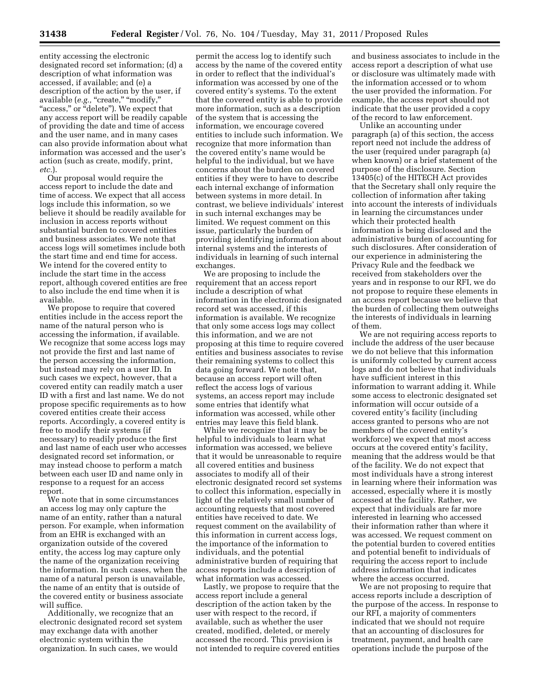entity accessing the electronic designated record set information; (d) a description of what information was accessed, if available; and (e) a description of the action by the user, if available (e.g., "create," "modify," "access," or "delete"). We expect that any access report will be readily capable of providing the date and time of access and the user name, and in many cases can also provide information about what information was accessed and the user's action (such as create, modify, print, *etc.*).

Our proposal would require the access report to include the date and time of access. We expect that all access logs include this information, so we believe it should be readily available for inclusion in access reports without substantial burden to covered entities and business associates. We note that access logs will sometimes include both the start time and end time for access. We intend for the covered entity to include the start time in the access report, although covered entities are free to also include the end time when it is available.

We propose to require that covered entities include in the access report the name of the natural person who is accessing the information, if available. We recognize that some access logs may not provide the first and last name of the person accessing the information, but instead may rely on a user ID. In such cases we expect, however, that a covered entity can readily match a user ID with a first and last name. We do not propose specific requirements as to how covered entities create their access reports. Accordingly, a covered entity is free to modify their systems (if necessary) to readily produce the first and last name of each user who accesses designated record set information, or may instead choose to perform a match between each user ID and name only in response to a request for an access report.

We note that in some circumstances an access log may only capture the name of an entity, rather than a natural person. For example, when information from an EHR is exchanged with an organization outside of the covered entity, the access log may capture only the name of the organization receiving the information. In such cases, when the name of a natural person is unavailable, the name of an entity that is outside of the covered entity or business associate will suffice.

Additionally, we recognize that an electronic designated record set system may exchange data with another electronic system within the organization. In such cases, we would

permit the access log to identify such access by the name of the covered entity in order to reflect that the individual's information was accessed by one of the covered entity's systems. To the extent that the covered entity is able to provide more information, such as a description of the system that is accessing the information, we encourage covered entities to include such information. We recognize that more information than the covered entity's name would be helpful to the individual, but we have concerns about the burden on covered entities if they were to have to describe each internal exchange of information between systems in more detail. In contrast, we believe individuals' interest in such internal exchanges may be limited. We request comment on this issue, particularly the burden of providing identifying information about internal systems and the interests of individuals in learning of such internal exchanges.

We are proposing to include the requirement that an access report include a description of what information in the electronic designated record set was accessed, if this information is available. We recognize that only some access logs may collect this information, and we are not proposing at this time to require covered entities and business associates to revise their remaining systems to collect this data going forward. We note that, because an access report will often reflect the access logs of various systems, an access report may include some entries that identify what information was accessed, while other entries may leave this field blank.

While we recognize that it may be helpful to individuals to learn what information was accessed, we believe that it would be unreasonable to require all covered entities and business associates to modify all of their electronic designated record set systems to collect this information, especially in light of the relatively small number of accounting requests that most covered entities have received to date. We request comment on the availability of this information in current access logs, the importance of the information to individuals, and the potential administrative burden of requiring that access reports include a description of what information was accessed.

Lastly, we propose to require that the access report include a general description of the action taken by the user with respect to the record, if available, such as whether the user created, modified, deleted, or merely accessed the record. This provision is not intended to require covered entities

and business associates to include in the access report a description of what use or disclosure was ultimately made with the information accessed or to whom the user provided the information. For example, the access report should not indicate that the user provided a copy of the record to law enforcement.

Unlike an accounting under paragraph (a) of this section, the access report need not include the address of the user (required under paragraph (a) when known) or a brief statement of the purpose of the disclosure. Section 13405(c) of the HITECH Act provides that the Secretary shall only require the collection of information after taking into account the interests of individuals in learning the circumstances under which their protected health information is being disclosed and the administrative burden of accounting for such disclosures. After consideration of our experience in administering the Privacy Rule and the feedback we received from stakeholders over the years and in response to our RFI, we do not propose to require these elements in an access report because we believe that the burden of collecting them outweighs the interests of individuals in learning of them.

We are not requiring access reports to include the address of the user because we do not believe that this information is uniformly collected by current access logs and do not believe that individuals have sufficient interest in this information to warrant adding it. While some access to electronic designated set information will occur outside of a covered entity's facility (including access granted to persons who are not members of the covered entity's workforce) we expect that most access occurs at the covered entity's facility, meaning that the address would be that of the facility. We do not expect that most individuals have a strong interest in learning where their information was accessed, especially where it is mostly accessed at the facility. Rather, we expect that individuals are far more interested in learning who accessed their information rather than where it was accessed. We request comment on the potential burden to covered entities and potential benefit to individuals of requiring the access report to include address information that indicates where the access occurred.

We are not proposing to require that access reports include a description of the purpose of the access. In response to our RFI, a majority of commenters indicated that we should not require that an accounting of disclosures for treatment, payment, and health care operations include the purpose of the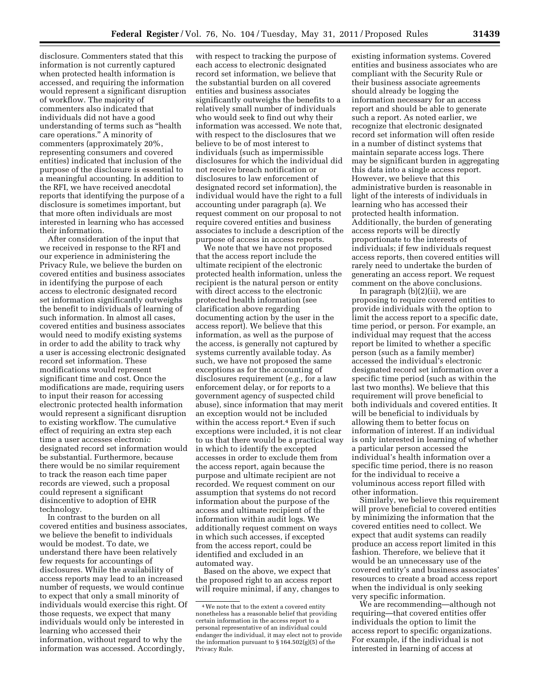disclosure. Commenters stated that this information is not currently captured when protected health information is accessed, and requiring the information would represent a significant disruption of workflow. The majority of commenters also indicated that individuals did not have a good understanding of terms such as ''health care operations.'' A minority of commenters (approximately 20%, representing consumers and covered entities) indicated that inclusion of the purpose of the disclosure is essential to a meaningful accounting. In addition to the RFI, we have received anecdotal reports that identifying the purpose of a disclosure is sometimes important, but that more often individuals are most interested in learning who has accessed their information.

After consideration of the input that we received in response to the RFI and our experience in administering the Privacy Rule, we believe the burden on covered entities and business associates in identifying the purpose of each access to electronic designated record set information significantly outweighs the benefit to individuals of learning of such information. In almost all cases, covered entities and business associates would need to modify existing systems in order to add the ability to track why a user is accessing electronic designated record set information. These modifications would represent significant time and cost. Once the modifications are made, requiring users to input their reason for accessing electronic protected health information would represent a significant disruption to existing workflow. The cumulative effect of requiring an extra step each time a user accesses electronic designated record set information would be substantial. Furthermore, because there would be no similar requirement to track the reason each time paper records are viewed, such a proposal could represent a significant disincentive to adoption of EHR technology.

In contrast to the burden on all covered entities and business associates, we believe the benefit to individuals would be modest. To date, we understand there have been relatively few requests for accountings of disclosures. While the availability of access reports may lead to an increased number of requests, we would continue to expect that only a small minority of individuals would exercise this right. Of those requests, we expect that many individuals would only be interested in learning who accessed their information, without regard to why the information was accessed. Accordingly,

with respect to tracking the purpose of each access to electronic designated record set information, we believe that the substantial burden on all covered entities and business associates significantly outweighs the benefits to a relatively small number of individuals who would seek to find out why their information was accessed. We note that, with respect to the disclosures that we believe to be of most interest to individuals (such as impermissible disclosures for which the individual did not receive breach notification or disclosures to law enforcement of designated record set information), the individual would have the right to a full accounting under paragraph (a). We request comment on our proposal to not require covered entities and business associates to include a description of the purpose of access in access reports.

We note that we have not proposed that the access report include the ultimate recipient of the electronic protected health information, unless the recipient is the natural person or entity with direct access to the electronic protected health information (see clarification above regarding documenting action by the user in the access report). We believe that this information, as well as the purpose of the access, is generally not captured by systems currently available today. As such, we have not proposed the same exceptions as for the accounting of disclosures requirement (*e.g.,* for a law enforcement delay, or for reports to a government agency of suspected child abuse), since information that may merit an exception would not be included within the access report.<sup>4</sup> Even if such exceptions were included, it is not clear to us that there would be a practical way in which to identify the excepted accesses in order to exclude them from the access report, again because the purpose and ultimate recipient are not recorded. We request comment on our assumption that systems do not record information about the purpose of the access and ultimate recipient of the information within audit logs. We additionally request comment on ways in which such accesses, if excepted from the access report, could be identified and excluded in an automated way.

Based on the above, we expect that the proposed right to an access report will require minimal, if any, changes to

existing information systems. Covered entities and business associates who are compliant with the Security Rule or their business associate agreements should already be logging the information necessary for an access report and should be able to generate such a report. As noted earlier, we recognize that electronic designated record set information will often reside in a number of distinct systems that maintain separate access logs. There may be significant burden in aggregating this data into a single access report. However, we believe that this administrative burden is reasonable in light of the interests of individuals in learning who has accessed their protected health information. Additionally, the burden of generating access reports will be directly proportionate to the interests of individuals; if few individuals request access reports, then covered entities will rarely need to undertake the burden of generating an access report. We request comment on the above conclusions.

In paragraph (b)(2)(ii), we are proposing to require covered entities to provide individuals with the option to limit the access report to a specific date, time period, or person. For example, an individual may request that the access report be limited to whether a specific person (such as a family member) accessed the individual's electronic designated record set information over a specific time period (such as within the last two months). We believe that this requirement will prove beneficial to both individuals and covered entities. It will be beneficial to individuals by allowing them to better focus on information of interest. If an individual is only interested in learning of whether a particular person accessed the individual's health information over a specific time period, there is no reason for the individual to receive a voluminous access report filled with other information.

Similarly, we believe this requirement will prove beneficial to covered entities by minimizing the information that the covered entities need to collect. We expect that audit systems can readily produce an access report limited in this fashion. Therefore, we believe that it would be an unnecessary use of the covered entity's and business associates' resources to create a broad access report when the individual is only seeking very specific information.

We are recommending—although not requiring—that covered entities offer individuals the option to limit the access report to specific organizations. For example, if the individual is not interested in learning of access at

<sup>4</sup>We note that to the extent a covered entity nonetheless has a reasonable belief that providing certain information in the access report to a personal representative of an individual could endanger the individual, it may elect not to provide the information pursuant to  $\S$  164.502(g)(5) of the Privacy Rule.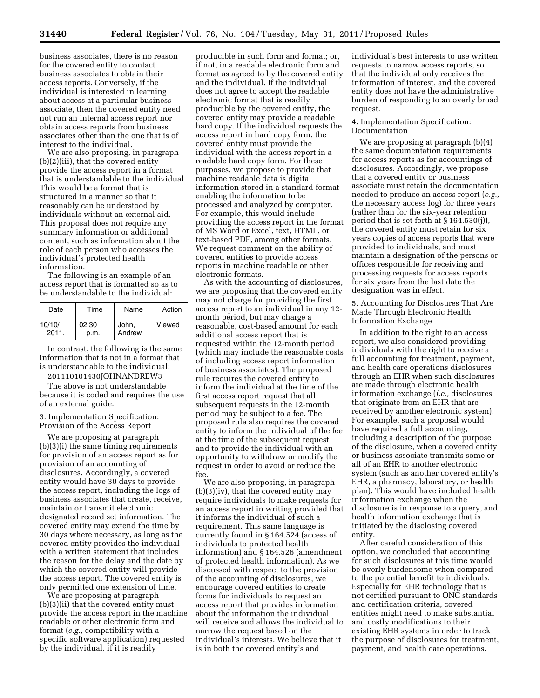business associates, there is no reason for the covered entity to contact business associates to obtain their access reports. Conversely, if the individual is interested in learning about access at a particular business associate, then the covered entity need not run an internal access report nor obtain access reports from business associates other than the one that is of interest to the individual.

We are also proposing, in paragraph (b)(2)(iii), that the covered entity provide the access report in a format that is understandable to the individual. This would be a format that is structured in a manner so that it reasonably can be understood by individuals without an external aid. This proposal does not require any summary information or additional content, such as information about the role of each person who accesses the individual's protected health information.

The following is an example of an access report that is formatted so as to be understandable to the individual:

| Date   | Time  | Name   | Action |  |
|--------|-------|--------|--------|--|
| 10/10/ | 02:30 | John,  | Viewed |  |
| 2011.  | p.m.  | Andrew |        |  |

In contrast, the following is the same information that is not in a format that is understandable to the individual:

201110101430JOHNANDREW3

The above is not understandable because it is coded and requires the use of an external guide.

3. Implementation Specification: Provision of the Access Report

We are proposing at paragraph (b)(3)(i) the same timing requirements for provision of an access report as for provision of an accounting of disclosures. Accordingly, a covered entity would have 30 days to provide the access report, including the logs of business associates that create, receive, maintain or transmit electronic designated record set information. The covered entity may extend the time by 30 days where necessary, as long as the covered entity provides the individual with a written statement that includes the reason for the delay and the date by which the covered entity will provide the access report. The covered entity is only permitted one extension of time.

We are proposing at paragraph (b)(3)(ii) that the covered entity must provide the access report in the machine readable or other electronic form and format (*e.g.,* compatibility with a specific software application) requested by the individual, if it is readily

producible in such form and format; or, if not, in a readable electronic form and format as agreed to by the covered entity and the individual. If the individual does not agree to accept the readable electronic format that is readily producible by the covered entity, the covered entity may provide a readable hard copy. If the individual requests the access report in hard copy form, the covered entity must provide the individual with the access report in a readable hard copy form. For these purposes, we propose to provide that machine readable data is digital information stored in a standard format enabling the information to be processed and analyzed by computer. For example, this would include providing the access report in the format of MS Word or Excel, text, HTML, or text-based PDF, among other formats. We request comment on the ability of covered entities to provide access reports in machine readable or other electronic formats.

As with the accounting of disclosures, we are proposing that the covered entity may not charge for providing the first access report to an individual in any 12 month period, but may charge a reasonable, cost-based amount for each additional access report that is requested within the 12-month period (which may include the reasonable costs of including access report information of business associates). The proposed rule requires the covered entity to inform the individual at the time of the first access report request that all subsequent requests in the 12-month period may be subject to a fee. The proposed rule also requires the covered entity to inform the individual of the fee at the time of the subsequent request and to provide the individual with an opportunity to withdraw or modify the request in order to avoid or reduce the fee.

We are also proposing, in paragraph (b)(3)(iv), that the covered entity may require individuals to make requests for an access report in writing provided that it informs the individual of such a requirement. This same language is currently found in § 164.524 (access of individuals to protected health information) and § 164.526 (amendment of protected health information). As we discussed with respect to the provision of the accounting of disclosures, we encourage covered entities to create forms for individuals to request an access report that provides information about the information the individual will receive and allows the individual to narrow the request based on the individual's interests. We believe that it is in both the covered entity's and

individual's best interests to use written requests to narrow access reports, so that the individual only receives the information of interest, and the covered entity does not have the administrative burden of responding to an overly broad request.

# 4. Implementation Specification: Documentation

We are proposing at paragraph (b)(4) the same documentation requirements for access reports as for accountings of disclosures. Accordingly, we propose that a covered entity or business associate must retain the documentation needed to produce an access report (*e.g.,*  the necessary access log) for three years (rather than for the six-year retention period that is set forth at § 164.530(j)), the covered entity must retain for six years copies of access reports that were provided to individuals, and must maintain a designation of the persons or offices responsible for receiving and processing requests for access reports for six years from the last date the designation was in effect.

5. Accounting for Disclosures That Are Made Through Electronic Health Information Exchange

In addition to the right to an access report, we also considered providing individuals with the right to receive a full accounting for treatment, payment, and health care operations disclosures through an EHR when such disclosures are made through electronic health information exchange (*i.e.,* disclosures that originate from an EHR that are received by another electronic system). For example, such a proposal would have required a full accounting, including a description of the purpose of the disclosure, when a covered entity or business associate transmits some or all of an EHR to another electronic system (such as another covered entity's EHR, a pharmacy, laboratory, or health plan). This would have included health information exchange when the disclosure is in response to a query, and health information exchange that is initiated by the disclosing covered entity.

After careful consideration of this option, we concluded that accounting for such disclosures at this time would be overly burdensome when compared to the potential benefit to individuals. Especially for EHR technology that is not certified pursuant to ONC standards and certification criteria, covered entities might need to make substantial and costly modifications to their existing EHR systems in order to track the purpose of disclosures for treatment, payment, and health care operations.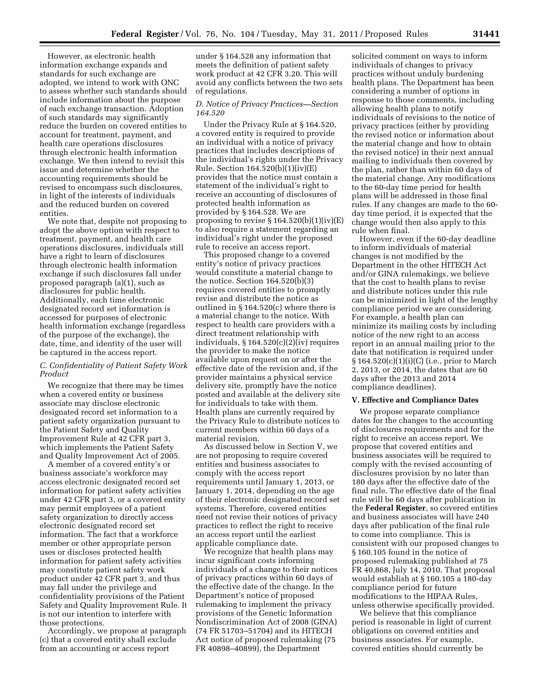However, as electronic health information exchange expands and standards for such exchange are adopted, we intend to work with ONC to assess whether such standards should include information about the purpose of each exchange transaction. Adoption of such standards may significantly reduce the burden on covered entities to account for treatment, payment, and health care operations disclosures through electronic health information exchange. We then intend to revisit this issue and determine whether the accounting requirements should be revised to encompass such disclosures, in light of the interests of individuals and the reduced burden on covered entities.

We note that, despite not proposing to adopt the above option with respect to treatment, payment, and health care operations disclosures, individuals still have a right to learn of disclosures through electronic health information exchange if such disclosures fall under proposed paragraph (a)(1), such as disclosures for public health. Additionally, each time electronic designated record set information is accessed for purposes of electronic health information exchange (regardless of the purpose of the exchange), the date, time, and identity of the user will be captured in the access report.

# *C. Confidentiality of Patient Safety Work Product*

We recognize that there may be times when a covered entity or business associate may disclose electronic designated record set information to a patient safety organization pursuant to the Patient Safety and Quality Improvement Rule at 42 CFR part 3, which implements the Patient Safety and Quality Improvement Act of 2005.

A member of a covered entity's or business associate's workforce may access electronic designated record set information for patient safety activities under 42 CFR part 3, or a covered entity may permit employees of a patient safety organization to directly access electronic designated record set information. The fact that a workforce member or other appropriate person uses or discloses protected health information for patient safety activities may constitute patient safety work product under 42 CFR part 3, and thus may fall under the privilege and confidentiality provisions of the Patient Safety and Quality Improvement Rule. It is not our intention to interfere with those protections.

Accordingly, we propose at paragraph (c) that a covered entity shall exclude from an accounting or access report

under § 164.528 any information that meets the definition of patient safety work product at 42 CFR 3.20. This will avoid any conflicts between the two sets of regulations.

# *D. Notice of Privacy Practices—Section 164.520*

Under the Privacy Rule at § 164.520, a covered entity is required to provide an individual with a notice of privacy practices that includes descriptions of the individual's rights under the Privacy Rule. Section 164.520(b)(1)(iv)(E) provides that the notice must contain a statement of the individual's right to receive an accounting of disclosures of protected health information as provided by § 164.528. We are proposing to revise  $\S 164.520(b)(1)(iv)(E)$ to also require a statement regarding an individual's right under the proposed rule to receive an access report.

This proposed change to a covered entity's notice of privacy practices would constitute a material change to the notice. Section 164.520(b)(3) requires covered entities to promptly revise and distribute the notice as outlined in § 164.520(c) where there is a material change to the notice. With respect to health care providers with a direct treatment relationship with individuals, § 164.520(c)(2)(iv) requires the provider to make the notice available upon request on or after the effective date of the revision and, if the provider maintains a physical service delivery site, promptly have the notice posted and available at the delivery site for individuals to take with them. Health plans are currently required by the Privacy Rule to distribute notices to current members within 60 days of a material revision.

As discussed below in Section V, we are not proposing to require covered entities and business associates to comply with the access report requirements until January 1, 2013, or January 1, 2014, depending on the age of their electronic designated record set systems. Therefore, covered entities need not revise their notices of privacy practices to reflect the right to receive an access report until the earliest applicable compliance date.

We recognize that health plans may incur significant costs informing individuals of a change to their notices of privacy practices within 60 days of the effective date of the change. In the Department's notice of proposed rulemaking to implement the privacy provisions of the Genetic Information Nondiscrimination Act of 2008 (GINA) (74 FR 51703–51704) and its HITECH Act notice of proposed rulemaking (75 FR 40898–40899), the Department

solicited comment on ways to inform individuals of changes to privacy practices without unduly burdening health plans. The Department has been considering a number of options in response to those comments, including allowing health plans to notify individuals of revisions to the notice of privacy practices (either by providing the revised notice or information about the material change and how to obtain the revised notice) in their next annual mailing to individuals then covered by the plan, rather than within 60 days of the material change. Any modifications to the 60-day time period for health plans will be addressed in those final rules. If any changes are made to the 60 day time period, it is expected that the change would then also apply to this rule when final.

However, even if the 60-day deadline to inform individuals of material changes is not modified by the Department in the other HITECH Act and/or GINA rulemakings, we believe that the cost to health plans to revise and distribute notices under this rule can be minimized in light of the lengthy compliance period we are considering. For example, a health plan can minimize its mailing costs by including notice of the new right to an access report in an annual mailing prior to the date that notification is required under § 164.520(c)(1)(i)(C) (i.e., prior to March 2, 2013, or 2014, the dates that are 60 days after the 2013 and 2014 compliance deadlines).

#### **V. Effective and Compliance Dates**

We propose separate compliance dates for the changes to the accounting of disclosures requirements and for the right to receive an access report. We propose that covered entities and business associates will be required to comply with the revised accounting of disclosures provision by no later than 180 days after the effective date of the final rule. The effective date of the final rule will be 60 days after publication in the **Federal Register**, so covered entities and business associates will have 240 days after publication of the final rule to come into compliance. This is consistent with our proposed changes to § 160.105 found in the notice of proposed rulemaking published at 75 FR 40,868, July 14, 2010. That proposal would establish at § 160.105 a 180-day compliance period for future modifications to the HIPAA Rules, unless otherwise specifically provided.

We believe that this compliance period is reasonable in light of current obligations on covered entities and business associates. For example, covered entities should currently be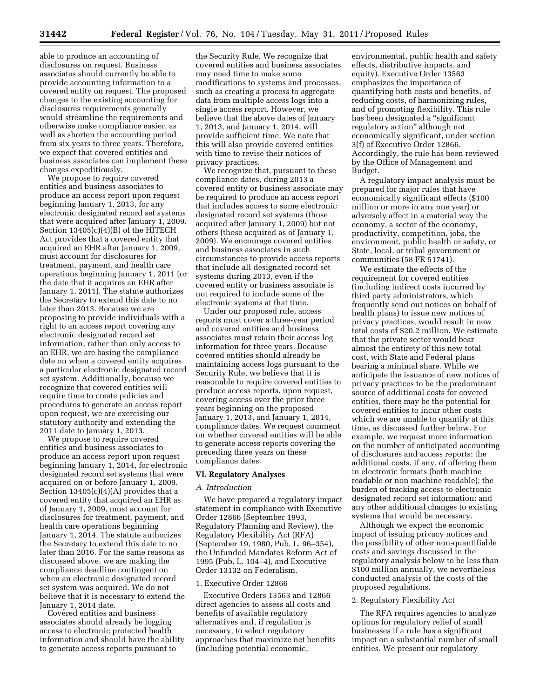able to produce an accounting of disclosures on request. Business associates should currently be able to provide accounting information to a covered entity on request. The proposed changes to the existing accounting for disclosures requirements generally would streamline the requirements and otherwise make compliance easier, as well as shorten the accounting period from six years to three years. Therefore, we expect that covered entities and business associates can implement these changes expeditiously.

We propose to require covered entities and business associates to produce an access report upon request beginning January 1, 2013, for any electronic designated record set systems that were acquired after January 1, 2009. Section 13405(c)(4)(B) of the HITECH Act provides that a covered entity that acquired an EHR after January 1, 2009, must account for disclosures for treatment, payment, and health care operations beginning January 1, 2011 (or the date that it acquires an EHR after January 1, 2011). The statute authorizes the Secretary to extend this date to no later than 2013. Because we are proposing to provide individuals with a right to an access report covering any electronic designated record set information, rather than only access to an EHR, we are basing the compliance date on when a covered entity acquires a particular electronic designated record set system. Additionally, because we recognize that covered entities will require time to create policies and procedures to generate an access report upon request, we are exercising our statutory authority and extending the 2011 date to January 1, 2013.

We propose to require covered entities and business associates to produce an access report upon request beginning January 1, 2014, for electronic designated record set systems that were acquired on or before January 1, 2009. Section  $13405(c)(4)(A)$  provides that a covered entity that acquired an EHR as of January 1, 2009, must account for disclosures for treatment, payment, and health care operations beginning January 1, 2014. The statute authorizes the Secretary to extend this date to no later than 2016. For the same reasons as discussed above, we are making the compliance deadline contingent on when an electronic designated record set system was acquired. We do not believe that it is necessary to extend the January 1, 2014 date.

Covered entities and business associates should already be logging access to electronic protected health information and should have the ability to generate access reports pursuant to

the Security Rule. We recognize that covered entities and business associates may need time to make some modifications to systems and processes, such as creating a process to aggregate data from multiple access logs into a single access report. However, we believe that the above dates of January 1, 2013, and January 1, 2014, will provide sufficient time. We note that this will also provide covered entities with time to revise their notices of privacy practices.

We recognize that, pursuant to these compliance dates, during 2013 a covered entity or business associate may be required to produce an access report that includes access to some electronic designated record set systems (those acquired after January 1, 2009) but not others (those acquired as of January 1, 2009). We encourage covered entities and business associates in such circumstances to provide access reports that include all designated record set systems during 2013, even if the covered entity or business associate is not required to include some of the electronic systems at that time.

Under our proposed rule, access reports must cover a three-year period and covered entities and business associates must retain their access log information for three years. Because covered entities should already be maintaining access logs pursuant to the Security Rule, we believe that it is reasonable to require covered entities to produce access reports, upon request, covering access over the prior three years beginning on the proposed January 1, 2013, and January 1, 2014, compliance dates. We request comment on whether covered entities will be able to generate access reports covering the preceding three years on these compliance dates.

#### **VI. Regulatory Analyses**

#### *A. Introduction*

We have prepared a regulatory impact statement in compliance with Executive Order 12866 (September 1993, Regulatory Planning and Review), the Regulatory Flexibility Act (RFA) (September 19, 1980, Pub. L. 96–354), the Unfunded Mandates Reform Act of 1995 (Pub. L. 104–4), and Executive Order 13132 on Federalism.

#### 1. Executive Order 12866

Executive Orders 13563 and 12866 direct agencies to assess all costs and benefits of available regulatory alternatives and, if regulation is necessary, to select regulatory approaches that maximize net benefits (including potential economic,

environmental, public health and safety effects, distributive impacts, and equity). Executive Order 13563 emphasizes the importance of quantifying both costs and benefits, of reducing costs, of harmonizing rules, and of promoting flexibility. This rule has been designated a ''significant regulatory action'' although not economically significant, under section 3(f) of Executive Order 12866. Accordingly, the rule has been reviewed by the Office of Management and Budget.

A regulatory impact analysis must be prepared for major rules that have economically significant effects (\$100 million or more in any one year) or adversely affect in a material way the economy, a sector of the economy, productivity, competition, jobs, the environment, public health or safety, or State, local, or tribal government or communities (58 FR 51741).

We estimate the effects of the requirement for covered entities (including indirect costs incurred by third party administrators, which frequently send out notices on behalf of health plans) to issue new notices of privacy practices, would result in new total costs of \$20.2 million. We estimate that the private sector would bear almost the entirety of this new total cost, with State and Federal plans bearing a minimal share. While we anticipate the issuance of new notices of privacy practices to be the predominant source of additional costs for covered entities, there may be the potential for covered entities to incur other costs which we are unable to quantify at this time, as discussed further below. For example, we request more information on the number of anticipated accounting of disclosures and access reports; the additional costs, if any, of offering them in electronic formats (both machine readable or non machine readable); the burden of tracking access to electronic designated record set information; and any other additional changes to existing systems that would be necessary.

Although we expect the economic impact of issuing privacy notices and the possibility of other non-quantifiable costs and savings discussed in the regulatory analysis below to be less than \$100 million annually, we nevertheless conducted analysis of the costs of the proposed regulations.

#### 2. Regulatory Flexibility Act

The RFA requires agencies to analyze options for regulatory relief of small businesses if a rule has a significant impact on a substantial number of small entities. We present our regulatory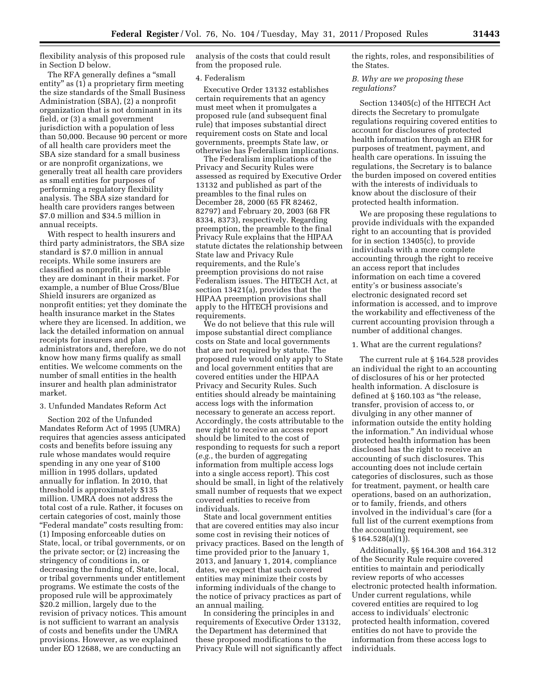flexibility analysis of this proposed rule in Section D below.

The RFA generally defines a "small" entity" as  $(1)$  a proprietary firm meeting the size standards of the Small Business Administration (SBA), (2) a nonprofit organization that is not dominant in its field, or (3) a small government jurisdiction with a population of less than 50,000. Because 90 percent or more of all health care providers meet the SBA size standard for a small business or are nonprofit organizations, we generally treat all health care providers as small entities for purposes of performing a regulatory flexibility analysis. The SBA size standard for health care providers ranges between \$7.0 million and \$34.5 million in annual receipts.

With respect to health insurers and third party administrators, the SBA size standard is \$7.0 million in annual receipts. While some insurers are classified as nonprofit, it is possible they are dominant in their market. For example, a number of Blue Cross/Blue Shield insurers are organized as nonprofit entities; yet they dominate the health insurance market in the States where they are licensed. In addition, we lack the detailed information on annual receipts for insurers and plan administrators and, therefore, we do not know how many firms qualify as small entities. We welcome comments on the number of small entities in the health insurer and health plan administrator market.

#### 3. Unfunded Mandates Reform Act

Section 202 of the Unfunded Mandates Reform Act of 1995 (UMRA) requires that agencies assess anticipated costs and benefits before issuing any rule whose mandates would require spending in any one year of \$100 million in 1995 dollars, updated annually for inflation. In 2010, that threshold is approximately \$135 million. UMRA does not address the total cost of a rule. Rather, it focuses on certain categories of cost, mainly those ''Federal mandate'' costs resulting from: (1) Imposing enforceable duties on State, local, or tribal governments, or on the private sector; or  $\bar{2}$ ) increasing the stringency of conditions in, or decreasing the funding of, State, local, or tribal governments under entitlement programs. We estimate the costs of the proposed rule will be approximately \$20.2 million, largely due to the revision of privacy notices. This amount is not sufficient to warrant an analysis of costs and benefits under the UMRA provisions. However, as we explained under EO 12688, we are conducting an

analysis of the costs that could result from the proposed rule.

#### 4. Federalism

Executive Order 13132 establishes certain requirements that an agency must meet when it promulgates a proposed rule (and subsequent final rule) that imposes substantial direct requirement costs on State and local governments, preempts State law, or otherwise has Federalism implications.

The Federalism implications of the Privacy and Security Rules were assessed as required by Executive Order 13132 and published as part of the preambles to the final rules on December 28, 2000 (65 FR 82462, 82797) and February 20, 2003 (68 FR 8334, 8373), respectively. Regarding preemption, the preamble to the final Privacy Rule explains that the HIPAA statute dictates the relationship between State law and Privacy Rule requirements, and the Rule's preemption provisions do not raise Federalism issues. The HITECH Act, at section 13421(a), provides that the HIPAA preemption provisions shall apply to the HITECH provisions and requirements.

We do not believe that this rule will impose substantial direct compliance costs on State and local governments that are not required by statute. The proposed rule would only apply to State and local government entities that are covered entities under the HIPAA Privacy and Security Rules. Such entities should already be maintaining access logs with the information necessary to generate an access report. Accordingly, the costs attributable to the new right to receive an access report should be limited to the cost of responding to requests for such a report (*e.g.*, the burden of aggregating information from multiple access logs into a single access report). This cost should be small, in light of the relatively small number of requests that we expect covered entities to receive from individuals.

State and local government entities that are covered entities may also incur some cost in revising their notices of privacy practices. Based on the length of time provided prior to the January 1, 2013, and January 1, 2014, compliance dates, we expect that such covered entities may minimize their costs by informing individuals of the change to the notice of privacy practices as part of an annual mailing.

In considering the principles in and requirements of Executive Order 13132, the Department has determined that these proposed modifications to the Privacy Rule will not significantly affect the rights, roles, and responsibilities of the States.

#### *B. Why are we proposing these regulations?*

Section 13405(c) of the HITECH Act directs the Secretary to promulgate regulations requiring covered entities to account for disclosures of protected health information through an EHR for purposes of treatment, payment, and health care operations. In issuing the regulations, the Secretary is to balance the burden imposed on covered entities with the interests of individuals to know about the disclosure of their protected health information.

We are proposing these regulations to provide individuals with the expanded right to an accounting that is provided for in section 13405(c), to provide individuals with a more complete accounting through the right to receive an access report that includes information on each time a covered entity's or business associate's electronic designated record set information is accessed, and to improve the workability and effectiveness of the current accounting provision through a number of additional changes.

#### 1. What are the current regulations?

The current rule at § 164.528 provides an individual the right to an accounting of disclosures of his or her protected health information. A disclosure is defined at § 160.103 as ''the release, transfer, provision of access to, or divulging in any other manner of information outside the entity holding the information.'' An individual whose protected health information has been disclosed has the right to receive an accounting of such disclosures. This accounting does not include certain categories of disclosures, such as those for treatment, payment, or health care operations, based on an authorization, or to family, friends, and others involved in the individual's care (for a full list of the current exemptions from the accounting requirement, see  $§ 164.528(a)(1)$ .

Additionally, §§ 164.308 and 164.312 of the Security Rule require covered entities to maintain and periodically review reports of who accesses electronic protected health information. Under current regulations, while covered entities are required to log access to individuals' electronic protected health information, covered entities do not have to provide the information from these access logs to individuals.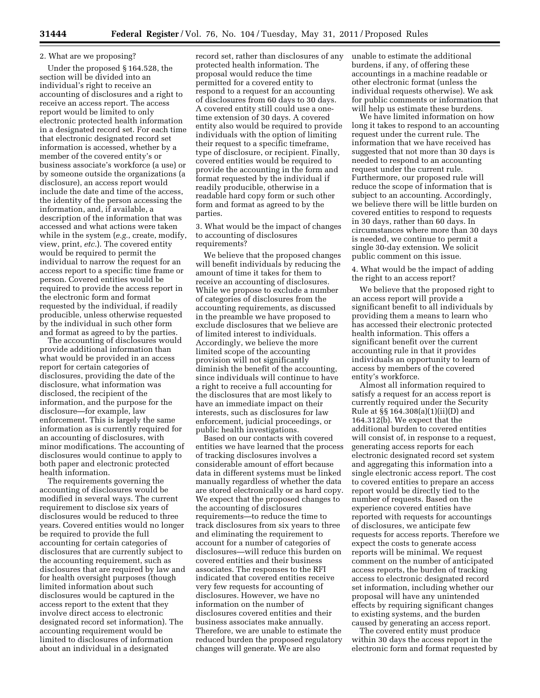# 2. What are we proposing?

Under the proposed § 164.528, the section will be divided into an individual's right to receive an accounting of disclosures and a right to receive an access report. The access report would be limited to only electronic protected health information in a designated record set. For each time that electronic designated record set information is accessed, whether by a member of the covered entity's or business associate's workforce (a use) or by someone outside the organizations (a disclosure), an access report would include the date and time of the access, the identity of the person accessing the information, and, if available, a description of the information that was accessed and what actions were taken while in the system (*e.g.*, create, modify, view, print, *etc.*). The covered entity would be required to permit the individual to narrow the request for an access report to a specific time frame or person. Covered entities would be required to provide the access report in the electronic form and format requested by the individual, if readily producible, unless otherwise requested by the individual in such other form and format as agreed to by the parties.

The accounting of disclosures would provide additional information than what would be provided in an access report for certain categories of disclosures, providing the date of the disclosure, what information was disclosed, the recipient of the information, and the purpose for the disclosure—for example, law enforcement. This is largely the same information as is currently required for an accounting of disclosures, with minor modifications. The accounting of disclosures would continue to apply to both paper and electronic protected health information.

The requirements governing the accounting of disclosures would be modified in several ways. The current requirement to disclose six years of disclosures would be reduced to three years. Covered entities would no longer be required to provide the full accounting for certain categories of disclosures that are currently subject to the accounting requirement, such as disclosures that are required by law and for health oversight purposes (though limited information about such disclosures would be captured in the access report to the extent that they involve direct access to electronic designated record set information). The accounting requirement would be limited to disclosures of information about an individual in a designated

record set, rather than disclosures of any protected health information. The proposal would reduce the time permitted for a covered entity to respond to a request for an accounting of disclosures from 60 days to 30 days. A covered entity still could use a onetime extension of 30 days. A covered entity also would be required to provide individuals with the option of limiting their request to a specific timeframe, type of disclosure, or recipient. Finally, covered entities would be required to provide the accounting in the form and format requested by the individual if readily producible, otherwise in a readable hard copy form or such other form and format as agreed to by the parties.

3. What would be the impact of changes to accounting of disclosures requirements?

We believe that the proposed changes will benefit individuals by reducing the amount of time it takes for them to receive an accounting of disclosures. While we propose to exclude a number of categories of disclosures from the accounting requirements, as discussed in the preamble we have proposed to exclude disclosures that we believe are of limited interest to individuals. Accordingly, we believe the more limited scope of the accounting provision will not significantly diminish the benefit of the accounting, since individuals will continue to have a right to receive a full accounting for the disclosures that are most likely to have an immediate impact on their interests, such as disclosures for law enforcement, judicial proceedings, or public health investigations.

Based on our contacts with covered entities we have learned that the process of tracking disclosures involves a considerable amount of effort because data in different systems must be linked manually regardless of whether the data are stored electronically or as hard copy. We expect that the proposed changes to the accounting of disclosures requirements—to reduce the time to track disclosures from six years to three and eliminating the requirement to account for a number of categories of disclosures—will reduce this burden on covered entities and their business associates. The responses to the RFI indicated that covered entities receive very few requests for accounting of disclosures. However, we have no information on the number of disclosures covered entities and their business associates make annually. Therefore, we are unable to estimate the reduced burden the proposed regulatory changes will generate. We are also

unable to estimate the additional burdens, if any, of offering these accountings in a machine readable or other electronic format (unless the individual requests otherwise). We ask for public comments or information that will help us estimate these burdens.

We have limited information on how long it takes to respond to an accounting request under the current rule. The information that we have received has suggested that not more than 30 days is needed to respond to an accounting request under the current rule. Furthermore, our proposed rule will reduce the scope of information that is subject to an accounting. Accordingly, we believe there will be little burden on covered entities to respond to requests in 30 days, rather than 60 days. In circumstances where more than 30 days is needed, we continue to permit a single 30-day extension. We solicit public comment on this issue.

4. What would be the impact of adding the right to an access report?

We believe that the proposed right to an access report will provide a significant benefit to all individuals by providing them a means to learn who has accessed their electronic protected health information. This offers a significant benefit over the current accounting rule in that it provides individuals an opportunity to learn of access by members of the covered entity's workforce.

Almost all information required to satisfy a request for an access report is currently required under the Security Rule at §§ 164.308(a)(1)(ii)(D) and 164.312(b). We expect that the additional burden to covered entities will consist of, in response to a request, generating access reports for each electronic designated record set system and aggregating this information into a single electronic access report. The cost to covered entities to prepare an access report would be directly tied to the number of requests. Based on the experience covered entities have reported with requests for accountings of disclosures, we anticipate few requests for access reports. Therefore we expect the costs to generate access reports will be minimal. We request comment on the number of anticipated access reports, the burden of tracking access to electronic designated record set information, including whether our proposal will have any unintended effects by requiring significant changes to existing systems, and the burden caused by generating an access report.

The covered entity must produce within 30 days the access report in the electronic form and format requested by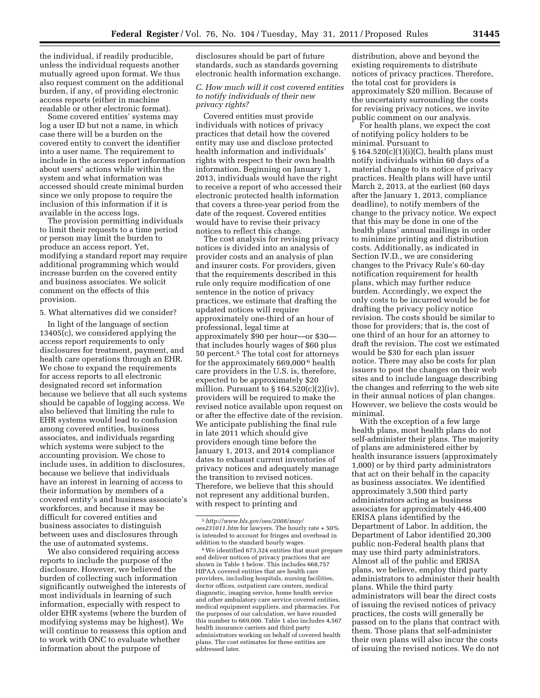the individual, if readily producible, unless the individual requests another mutually agreed upon format. We thus also request comment on the additional burden, if any, of providing electronic access reports (either in machine readable or other electronic format).

Some covered entities' systems may log a user ID but not a name, in which case there will be a burden on the covered entity to convert the identifier into a user name. The requirement to include in the access report information about users' actions while within the system and what information was accessed should create minimal burden since we only propose to require the inclusion of this information if it is available in the access logs.

The provision permitting individuals to limit their requests to a time period or person may limit the burden to produce an access report. Yet, modifying a standard report may require additional programming which would increase burden on the covered entity and business associates. We solicit comment on the effects of this provision.

#### 5. What alternatives did we consider?

In light of the language of section 13405(c), we considered applying the access report requirements to only disclosures for treatment, payment, and health care operations through an EHR. We chose to expand the requirements for access reports to all electronic designated record set information because we believe that all such systems should be capable of logging access. We also believed that limiting the rule to EHR systems would lead to confusion among covered entities, business associates, and individuals regarding which systems were subject to the accounting provision. We chose to include uses, in addition to disclosures, because we believe that individuals have an interest in learning of access to their information by members of a covered entity's and business associate's workforces, and because it may be difficult for covered entities and business associates to distinguish between uses and disclosures through the use of automated systems.

We also considered requiring access reports to include the purpose of the disclosure. However, we believed the burden of collecting such information significantly outweighed the interests of most individuals in learning of such information, especially with respect to older EHR systems (where the burden of modifying systems may be highest). We will continue to reassess this option and to work with ONC to evaluate whether information about the purpose of

disclosures should be part of future standards, such as standards governing electronic health information exchange.

# *C. How much will it cost covered entities to notify individuals of their new privacy rights?*

Covered entities must provide individuals with notices of privacy practices that detail how the covered entity may use and disclose protected health information and individuals' rights with respect to their own health information. Beginning on January 1, 2013, individuals would have the right to receive a report of who accessed their electronic protected health information that covers a three-year period from the date of the request. Covered entities would have to revise their privacy notices to reflect this change.

The cost analysis for revising privacy notices is divided into an analysis of provider costs and an analysis of plan and insurer costs. For providers, given that the requirements described in this rule only require modification of one sentence in the notice of privacy practices, we estimate that drafting the updated notices will require approximately one-third of an hour of professional, legal time at approximately \$90 per hour—or \$30 that includes hourly wages of \$60 plus 50 percent.5 The total cost for attorneys for the approximately 669,000 6 health care providers in the U.S. is, therefore, expected to be approximately \$20 million. Pursuant to  $\S 164.520(c)(2)(iv)$ , providers will be required to make the revised notice available upon request on or after the effective date of the revision. We anticipate publishing the final rule in late 2011 which should give providers enough time before the January 1, 2013, and 2014 compliance dates to exhaust current inventories of privacy notices and adequately manage the transition to revised notices. Therefore, we believe that this should not represent any additional burden, with respect to printing and

6We identified 673,324 entities that must prepare and deliver notices of privacy practices that are shown in Table 1 below. This includes 668,757 HIPAA covered entities that are health care providers, including hospitals, nursing facilities, doctor offices, outpatient care centers, medical diagnostic, imaging service, home health service and other ambulatory care service covered entities, medical equipment suppliers, and pharmacies. For the purposes of our calculation, we have rounded this number to 669,000. Table 1 also includes 4,567 health insurance carriers and third party administrators working on behalf of covered health plans. The cost estimates for these entities are addressed later.

distribution, above and beyond the existing requirements to distribute notices of privacy practices. Therefore, the total cost for providers is approximately \$20 million. Because of the uncertainty surrounding the costs for revising privacy notices, we invite public comment on our analysis.

For health plans, we expect the cost of notifying policy holders to be minimal. Pursuant to § 164.520(c)(1)(i)(C), health plans must notify individuals within 60 days of a material change to its notice of privacy practices. Health plans will have until March 2, 2013, at the earliest (60 days after the January 1, 2013, compliance deadline), to notify members of the change to the privacy notice. We expect that this may be done in one of the health plans' annual mailings in order to minimize printing and distribution costs. Additionally, as indicated in Section IV.D., we are considering changes to the Privacy Rule's 60-day notification requirement for health plans, which may further reduce burden. Accordingly, we expect the only costs to be incurred would be for drafting the privacy policy notice revision. The costs should be similar to those for providers; that is, the cost of one third of an hour for an attorney to draft the revision. The cost we estimated would be \$30 for each plan issuer notice. There may also be costs for plan issuers to post the changes on their web sites and to include language describing the changes and referring to the web site in their annual notices of plan changes. However, we believe the costs would be minimal.

With the exception of a few large health plans, most health plans do not self-administer their plans. The majority of plans are administered either by health insurance issuers (approximately 1,000) or by third party administrators that act on their behalf in the capacity as business associates. We identified approximately 3,500 third party administrators acting as business associates for approximately 446,400 ERISA plans identified by the Department of Labor. In addition, the Department of Labor identified 20,300 public non-Federal health plans that may use third party administrators. Almost all of the public and ERISA plans, we believe, employ third party administrators to administer their health plans. While the third party administrators will bear the direct costs of issuing the revised notices of privacy practices, the costs will generally be passed on to the plans that contract with them. Those plans that self-administer their own plans will also incur the costs of issuing the revised notices. We do not

<sup>5</sup>*[http://www.bls.gov/oes/2008/may/](http://www.bls.gov/oes/2008/may/oes231011.htm)  [oes231011.htm](http://www.bls.gov/oes/2008/may/oes231011.htm)* for lawyers. The hourly rate + 50% is intended to account for fringes and overhead in addition to the standard hourly wages.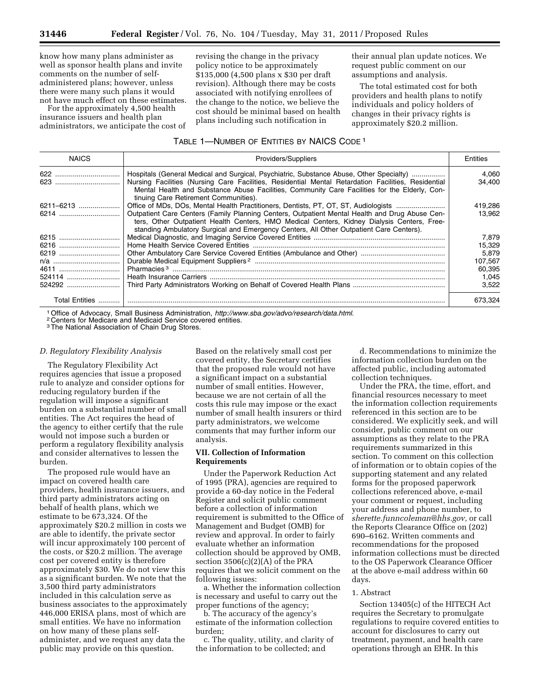know how many plans administer as well as sponsor health plans and invite comments on the number of selfadministered plans; however, unless there were many such plans it would not have much effect on these estimates.

For the approximately 4,500 health insurance issuers and health plan administrators, we anticipate the cost of revising the change in the privacy policy notice to be approximately \$135,000 (4,500 plans x \$30 per draft revision). Although there may be costs associated with notifying enrollees of the change to the notice, we believe the cost should be minimal based on health plans including such notification in

their annual plan update notices. We request public comment on our assumptions and analysis.

The total estimated cost for both providers and health plans to notify individuals and policy holders of changes in their privacy rights is approximately \$20.2 million.

# TABLE 1—NUMBER OF ENTITIES BY NAICS CODE 1

| <b>NAICS</b>          | Providers/Suppliers                                                                                                                                                                                                                                                                     |         |  |
|-----------------------|-----------------------------------------------------------------------------------------------------------------------------------------------------------------------------------------------------------------------------------------------------------------------------------------|---------|--|
|                       | Hospitals (General Medical and Surgical, Psychiatric, Substance Abuse, Other Specialty)                                                                                                                                                                                                 | 4,060   |  |
|                       | Nursing Facilities (Nursing Care Facilities, Residential Mental Retardation Facilities, Residential<br>Mental Health and Substance Abuse Facilities, Community Care Facilities for the Elderly, Con-<br>tinuing Care Retirement Communities).                                           | 34.400  |  |
| 6211-6213             | Office of MDs, DOs, Mental Health Practitioners, Dentists, PT, OT, ST, Audiologists                                                                                                                                                                                                     | 419,286 |  |
| 6214                  | Outpatient Care Centers (Family Planning Centers, Outpatient Mental Health and Drug Abuse Cen-<br>ters, Other Outpatient Health Centers, HMO Medical Centers, Kidney Dialysis Centers, Free-<br>standing Ambulatory Surgical and Emergency Centers, All Other Outpatient Care Centers). | 13.962  |  |
| 6215                  |                                                                                                                                                                                                                                                                                         | 7.879   |  |
| 6216                  |                                                                                                                                                                                                                                                                                         | 15,329  |  |
| 6219                  |                                                                                                                                                                                                                                                                                         | 5,879   |  |
| n/a                   |                                                                                                                                                                                                                                                                                         | 107,567 |  |
| 4611                  |                                                                                                                                                                                                                                                                                         | 60,395  |  |
| 524114                |                                                                                                                                                                                                                                                                                         | 1,045   |  |
| 524292                |                                                                                                                                                                                                                                                                                         | 3,522   |  |
| <b>Total Entities</b> |                                                                                                                                                                                                                                                                                         | 673.324 |  |

1Office of Advocacy, Small Business Administration, *http://www.sba.gov/advo/research/data.html*[.](http://www.sba.gov/advo/research/data.html) 2 Centers for Medicare and Medicaid Service covered entities.

3The National Association of Chain Drug Stores.

#### *D. Regulatory Flexibility Analysis*

The Regulatory Flexibility Act requires agencies that issue a proposed rule to analyze and consider options for reducing regulatory burden if the regulation will impose a significant burden on a substantial number of small entities. The Act requires the head of the agency to either certify that the rule would not impose such a burden or perform a regulatory flexibility analysis and consider alternatives to lessen the burden.

The proposed rule would have an impact on covered health care providers, health insurance issuers, and third party administrators acting on behalf of health plans, which we estimate to be 673,324. Of the approximately \$20.2 million in costs we are able to identify, the private sector will incur approximately 100 percent of the costs, or \$20.2 million. The average cost per covered entity is therefore approximately \$30. We do not view this as a significant burden. We note that the 3,500 third party administrators included in this calculation serve as business associates to the approximately 446,000 ERISA plans, most of which are small entities. We have no information on how many of these plans selfadminister, and we request any data the public may provide on this question.

Based on the relatively small cost per covered entity, the Secretary certifies that the proposed rule would not have a significant impact on a substantial number of small entities. However, because we are not certain of all the costs this rule may impose or the exact number of small health insurers or third party administrators, we welcome comments that may further inform our analysis.

#### **VII. Collection of Information Requirements**

Under the Paperwork Reduction Act of 1995 (PRA), agencies are required to provide a 60-day notice in the Federal Register and solicit public comment before a collection of information requirement is submitted to the Office of Management and Budget (OMB) for review and approval. In order to fairly evaluate whether an information collection should be approved by OMB, section 3506(c)(2)(A) of the PRA requires that we solicit comment on the following issues:

a. Whether the information collection is necessary and useful to carry out the proper functions of the agency;

b. The accuracy of the agency's estimate of the information collection burden;

c. The quality, utility, and clarity of the information to be collected; and

d. Recommendations to minimize the information collection burden on the affected public, including automated collection techniques.

Under the PRA, the time, effort, and financial resources necessary to meet the information collection requirements referenced in this section are to be considered. We explicitly seek, and will consider, public comment on our assumptions as they relate to the PRA requirements summarized in this section. To comment on this collection of information or to obtain copies of the supporting statement and any related forms for the proposed paperwork collections referenced above, e-mail your comment or request, including your address and phone number, to *[sherette.funncoleman@hhs.gov,](mailto:sherette.funncoleman@hhs.gov)* or call the Reports Clearance Office on (202) 690–6162. Written comments and recommendations for the proposed information collections must be directed to the OS Paperwork Clearance Officer at the above e-mail address within 60 days.

#### 1. Abstract

Section 13405(c) of the HITECH Act requires the Secretary to promulgate regulations to require covered entities to account for disclosures to carry out treatment, payment, and health care operations through an EHR. In this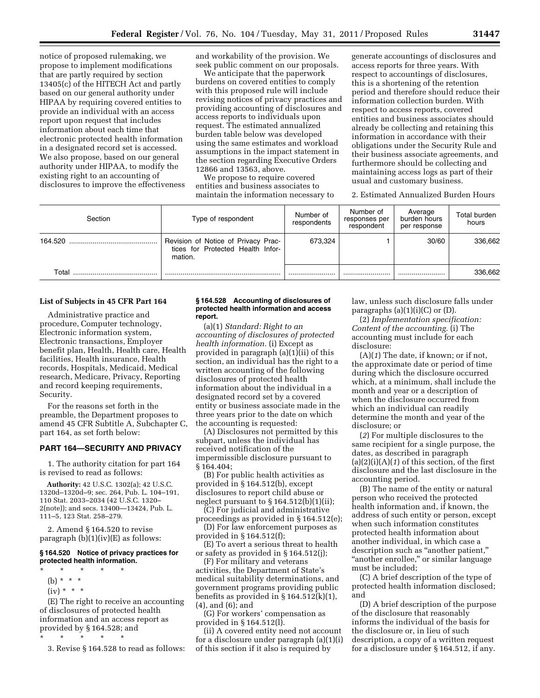notice of proposed rulemaking, we propose to implement modifications that are partly required by section 13405(c) of the HITECH Act and partly based on our general authority under HIPAA by requiring covered entities to provide an individual with an access report upon request that includes information about each time that electronic protected health information in a designated record set is accessed. We also propose, based on our general authority under HIPAA, to modify the existing right to an accounting of disclosures to improve the effectiveness and workability of the provision. We seek public comment on our proposals.

We anticipate that the paperwork burdens on covered entities to comply with this proposed rule will include revising notices of privacy practices and providing accounting of disclosures and access reports to individuals upon request. The estimated annualized burden table below was developed using the same estimates and workload assumptions in the impact statement in the section regarding Executive Orders 12866 and 13563, above.

We propose to require covered entities and business associates to maintain the information necessary to generate accountings of disclosures and access reports for three years. With respect to accountings of disclosures, this is a shortening of the retention period and therefore should reduce their information collection burden. With respect to access reports, covered entities and business associates should already be collecting and retaining this information in accordance with their obligations under the Security Rule and their business associate agreements, and furthermore should be collecting and maintaining access logs as part of their usual and customary business.

2. Estimated Annualized Burden Hours

| Section | Type of respondent                                                                  | Number of<br>respondents | Number of<br>responses per<br>respondent | Average<br>burden hours<br>per response | Total burden<br>hours |
|---------|-------------------------------------------------------------------------------------|--------------------------|------------------------------------------|-----------------------------------------|-----------------------|
| 164.520 | Revision of Notice of Privacy Prac-<br>tices for Protected Health Infor-<br>mation. | 673.324                  |                                          | 30/60                                   | 336.662               |
| Total   |                                                                                     |                          |                                          |                                         | 336,662               |

#### **List of Subjects in 45 CFR Part 164**

Administrative practice and procedure, Computer technology, Electronic information system, Electronic transactions, Employer benefit plan, Health, Health care, Health facilities, Health insurance, Health records, Hospitals, Medicaid, Medical research, Medicare, Privacy, Reporting and record keeping requirements, Security.

For the reasons set forth in the preamble, the Department proposes to amend 45 CFR Subtitle A, Subchapter C, part 164, as set forth below:

#### **PART 164—SECURITY AND PRIVACY**

1. The authority citation for part 164 is revised to read as follows:

**Authority:** 42 U.S.C. 1302(a); 42 U.S.C. 1320d–1320d–9; sec. 264, Pub. L. 104–191, 110 Stat. 2033–2034 (42 U.S.C. 1320– 2(note)); and secs. 13400—13424, Pub. L. 111–5, 123 Stat. 258–279.

2. Amend § 164.520 to revise paragraph (b)(1)(iv)(E) as follows:

# **§ 164.520 Notice of privacy practices for protected health information.**

\* \* \* \* \* (b)  $* * * *$  $(iv) * * * *$ 

(E) The right to receive an accounting of disclosures of protected health information and an access report as provided by § 164.528; and

 $\star$   $\star$   $\star$ 

3. Revise § 164.528 to read as follows:

#### **§ 164.528 Accounting of disclosures of protected health information and access report.**

(a)(1) *Standard: Right to an accounting of disclosures of protected health information.* (i) Except as provided in paragraph (a)(1)(ii) of this section, an individual has the right to a written accounting of the following disclosures of protected health information about the individual in a designated record set by a covered entity or business associate made in the three years prior to the date on which the accounting is requested:

(A) Disclosures not permitted by this subpart, unless the individual has received notification of the impermissible disclosure pursuant to § 164.404;

(B) For public health activities as provided in § 164.512(b), except disclosures to report child abuse or neglect pursuant to § 164.512(b)(1)(ii);

(C) For judicial and administrative proceedings as provided in § 164.512(e);

(D) For law enforcement purposes as provided in § 164.512(f);

(E) To avert a serious threat to health or safety as provided in § 164.512(j);

(F) For military and veterans activities, the Department of State's medical suitability determinations, and government programs providing public benefits as provided in § 164.512(k)(1), (4), and (6); and

(G) For workers' compensation as provided in § 164.512(l).

(ii) A covered entity need not account for a disclosure under paragraph (a)(1)(i) of this section if it also is required by

law, unless such disclosure falls under paragraphs  $(a)(1)(i)(C)$  or  $(D)$ .

(2) *Implementation specification: Content of the accounting.* (i) The accounting must include for each disclosure:

(A)(*1*) The date, if known; or if not, the approximate date or period of time during which the disclosure occurred which, at a minimum, shall include the month and year or a description of when the disclosure occurred from which an individual can readily determine the month and year of the disclosure; or

(*2*) For multiple disclosures to the same recipient for a single purpose, the dates, as described in paragraph (a)(2)(i)(A)(*1*) of this section, of the first disclosure and the last disclosure in the accounting period.

(B) The name of the entity or natural person who received the protected health information and, if known, the address of such entity or person, except when such information constitutes protected health information about another individual, in which case a description such as ''another patient,'' ''another enrollee,'' or similar language must be included;

(C) A brief description of the type of protected health information disclosed; and

(D) A brief description of the purpose of the disclosure that reasonably informs the individual of the basis for the disclosure or, in lieu of such description, a copy of a written request for a disclosure under § 164.512, if any.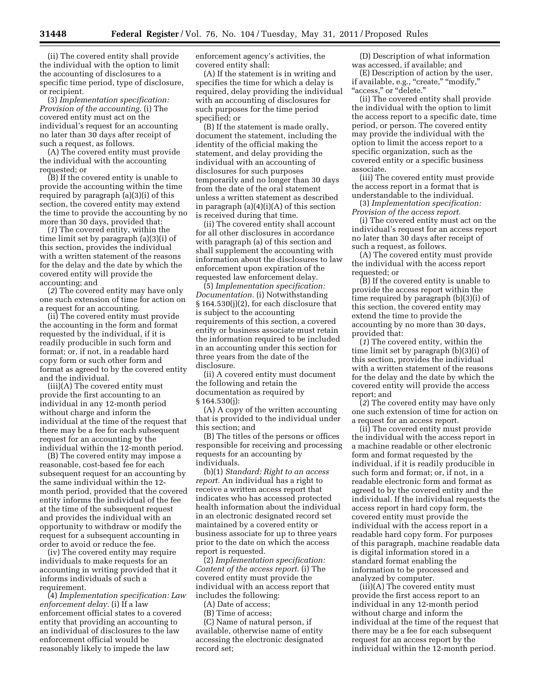(ii) The covered entity shall provide the individual with the option to limit the accounting of disclosures to a specific time period, type of disclosure, or recipient.

(3) *Implementation specification: Provision of the accounting.* (i) The covered entity must act on the individual's request for an accounting no later than 30 days after receipt of such a request, as follows.

(A) The covered entity must provide the individual with the accounting requested; or

(B) If the covered entity is unable to provide the accounting within the time required by paragraph (a)(3)(i) of this section, the covered entity may extend the time to provide the accounting by no more than 30 days, provided that:

(*1*) The covered entity, within the time limit set by paragraph (a)(3)(i) of this section, provides the individual with a written statement of the reasons for the delay and the date by which the covered entity will provide the accounting; and

(*2*) The covered entity may have only one such extension of time for action on a request for an accounting.

(ii) The covered entity must provide the accounting in the form and format requested by the individual, if it is readily producible in such form and format; or, if not, in a readable hard copy form or such other form and format as agreed to by the covered entity and the individual.

(iii)(A) The covered entity must provide the first accounting to an individual in any 12-month period without charge and inform the individual at the time of the request that there may be a fee for each subsequent request for an accounting by the individual within the 12-month period.

(B) The covered entity may impose a reasonable, cost-based fee for each subsequent request for an accounting by the same individual within the 12 month period, provided that the covered entity informs the individual of the fee at the time of the subsequent request and provides the individual with an opportunity to withdraw or modify the request for a subsequent accounting in order to avoid or reduce the fee.

(iv) The covered entity may require individuals to make requests for an accounting in writing provided that it informs individuals of such a requirement.

(4) *Implementation specification: Law enforcement delay.* (i) If a law enforcement official states to a covered entity that providing an accounting to an individual of disclosures to the law enforcement official would be reasonably likely to impede the law

enforcement agency's activities, the covered entity shall:

(A) If the statement is in writing and specifies the time for which a delay is required, delay providing the individual with an accounting of disclosures for such purposes for the time period specified; or

(B) If the statement is made orally, document the statement, including the identity of the official making the statement, and delay providing the individual with an accounting of disclosures for such purposes temporarily and no longer than 30 days from the date of the oral statement unless a written statement as described in paragraph  $(a)(4)(i)(A)$  of this section is received during that time.

(ii) The covered entity shall account for all other disclosures in accordance with paragraph (a) of this section and shall supplement the accounting with information about the disclosures to law enforcement upon expiration of the requested law enforcement delay.

(5) *Implementation specification: Documentation.* (i) Notwithstanding § 164.530(j)(2), for each disclosure that is subject to the accounting requirements of this section, a covered entity or business associate must retain the information required to be included in an accounting under this section for three years from the date of the disclosure.

(ii) A covered entity must document the following and retain the documentation as required by § 164.530(j):

(A) A copy of the written accounting that is provided to the individual under this section; and

(B) The titles of the persons or offices responsible for receiving and processing requests for an accounting by individuals.

(b)(1) *Standard: Right to an access report.* An individual has a right to receive a written access report that indicates who has accessed protected health information about the individual in an electronic designated record set maintained by a covered entity or business associate for up to three years prior to the date on which the access report is requested.

(2) *Implementation specification: Content of the access report.* (i) The covered entity must provide the individual with an access report that includes the following:

(A) Date of access;

(B) Time of access;

(C) Name of natural person, if available, otherwise name of entity accessing the electronic designated record set;

(D) Description of what information was accessed, if available; and

(E) Description of action by the user, if available, e.g., "create," "modify," "access," or "delete."

(ii) The covered entity shall provide the individual with the option to limit the access report to a specific date, time period, or person. The covered entity may provide the individual with the option to limit the access report to a specific organization, such as the covered entity or a specific business associate.

(iii) The covered entity must provide the access report in a format that is understandable to the individual.

(3) *Implementation specification: Provision of the access report.* 

(i) The covered entity must act on the individual's request for an access report no later than 30 days after receipt of such a request, as follows.

(A) The covered entity must provide the individual with the access report requested; or

(B) If the covered entity is unable to provide the access report within the time required by paragraph (b)(3)(i) of this section, the covered entity may extend the time to provide the accounting by no more than 30 days, provided that:

(*1*) The covered entity, within the time limit set by paragraph (b)(3)(i) of this section, provides the individual with a written statement of the reasons for the delay and the date by which the covered entity will provide the access report; and

(*2*) The covered entity may have only one such extension of time for action on a request for an access report.

(ii) The covered entity must provide the individual with the access report in a machine readable or other electronic form and format requested by the individual, if it is readily producible in such form and format; or, if not, in a readable electronic form and format as agreed to by the covered entity and the individual. If the individual requests the access report in hard copy form, the covered entity must provide the individual with the access report in a readable hard copy form. For purposes of this paragraph, machine readable data is digital information stored in a standard format enabling the information to be processed and analyzed by computer.

(iii)(A) The covered entity must provide the first access report to an individual in any 12-month period without charge and inform the individual at the time of the request that there may be a fee for each subsequent request for an access report by the individual within the 12-month period.